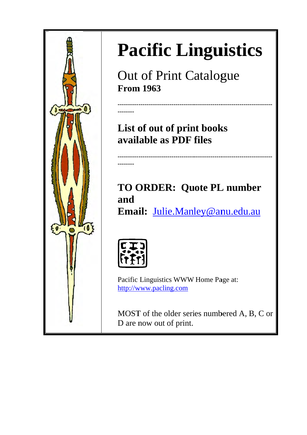

Out of Print Catalogue **From** 1963

List of out of print books **avail lable as s PDF files** 

**--------------**

**----------- -------------- -------------- --------------**

**TO ORDER: Quote PL number and**  Email: Julie.Manley@anu.edu.au

**--------------**

**--------------**

**------------**

**------------**

**--------------**



**--------** 

**----------- --------** 

**--------------**

Pacific Linguistics WWW Home Page at: http://www.pacling.com

MOST of the older series numbered A, B, C or D are n now out of print.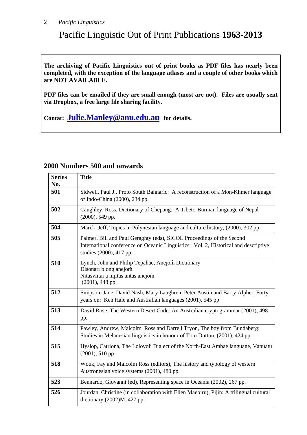## Pacific Linguistic Out of Print Publications **1963-2013**

**The archiving of Pacific Linguistics out of print books as PDF files has nearly been completed, with the exception of the language atlases and a couple of other books which are NOT AVAILABLE.** 

**PDF files can be emailed if they are small enough (most are not). Files are usually sent via Dropbox, a free large file sharing facility.** 

**Contat: Julie.Manley@anu.edu.au for details.** 

#### **Series No. Title 501** Sidwell, Paul J., Proto South Bahnaric: A reconstruction of a Mon-Khmer language of Indo-China (2000), 234 pp. **502** Caughley, Ross, Dictionary of Chepang: A Tibeto-Burman language of Nepal (2000), 549 pp. **504** Marck, Jeff, Topics in Polynesian language and culture history, (2000), 302 pp. **505** Palmer, Bill and Paul Geraghty (eds), SICOL Proceedings of the Second International conference on Oceanic Linguistics: Vol. 2, Historical and descriptive studies (2000), 417 pp. **510** Lynch, John and Philip Tepahae, Anejom̃ Dictionary Disonari blong anejom̃ Nitasviitai a nijitas antas anejom̃ (2001), 448 pp. **512** Simpson, Jane, David Nash, Mary Laughren, Peter Austin and Barry Alpher, Forty years on: Ken Hale and Australian languages (2001), 545 pp **513** David Rose, The Western Desert Code: An Australian cryptogrammar (2001), 498 pp. **514** Pawley, Andrew, Malcolm Ross and Darrell Tryon, The boy from Bundaberg: Studies in Melanesian linguistics in honour of Tom Dutton, (2001), 424 pp **515** Hyslop, Catriona, The Lolovoli Dialect of the North-East Ambae language, Vanuatu (2001), 510 pp. **518** Wouk, Fay and Malcolm Ross (editors), The history and typology of western Austronesian voice systems (2001), 480 pp. **523** Bennardo, Giovanni (ed), Representing space in Oceania (2002), 267 pp. **526** Jourdan, Christine (in collaboration with Ellen Maebiru), Pijin: A trilingual cultural dictionary (2002)M, 427 pp.

#### **2000 Numbers 500 and onwards**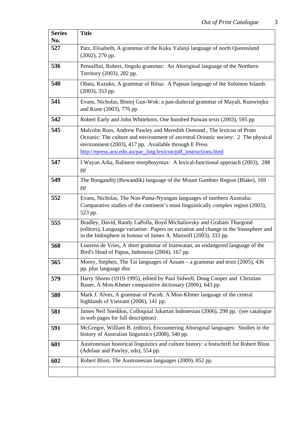| <b>Series</b><br>No. | <b>Title</b>                                                                                                                                                                                                                                                                           |
|----------------------|----------------------------------------------------------------------------------------------------------------------------------------------------------------------------------------------------------------------------------------------------------------------------------------|
| 527                  | Patz, Elisabeth, A grammar of the Kuku Yalanji language of north Queensland<br>$(2002), 270$ pp.                                                                                                                                                                                       |
| 536                  | Pensalfini, Robert, Jingulu grammar: An Aboriginal language of the Northern<br>Territory (2003), 282 pp.                                                                                                                                                                               |
| 540                  | Obata, Kazuko, A grammar of Bilua: A Papuan language of the Solomon Islands<br>$(2003)$ , 353 pp.                                                                                                                                                                                      |
| 541                  | Evans, Nicholas, Bininj Gun-Wok: a pan-dialectal grammar of Mayali, Kunwinjku<br>and Kune (2003), 776 pp                                                                                                                                                                               |
| 542                  | Robert Early and John Whitehorn, One hundred Paiwan texts (2003), 595 pp                                                                                                                                                                                                               |
| 545                  | Malcolm Ross, Andrew Pawley and Meredith Osmond, The lexicon of Proto<br>Oceanic: The culture and environment of ancestral Oceanic society: 2 The physical<br>environment (2003), 417 pp. Available through E Press<br>http://epress.anu.edu.au/pac_ling/lexicon/pdf_instructions.html |
| 547                  | I Wayan Arka, Balinese morphosyntax: A lexical-functional approach (2003), 288<br>pp                                                                                                                                                                                                   |
| 549                  | The Bunganditj (Buwandik) language of the Mount Gambier Region (Blake), 169<br>pp                                                                                                                                                                                                      |
| 552                  | Evans, Nicholas, The Non-Pama-Nyungan languages of northern Australia:<br>Comparative studies of the continent's most linguistically complex region (2003),<br>523 pp.                                                                                                                 |
| 555                  | Bradley, David, Randy LaPolla, Boyd Michailovsky and Graham Thurgood<br>(editors), Language variation: Papers on variation and change in the Sinosphere and<br>in the Indosphere in honour of James A. Matisoff (2003), 333 pp.                                                        |
| 560                  | Lourens de Vries, A short grammar of Inanwatan, an endangered language of the<br>Bird's Head of Papua, Indonesia (2004), 167 pp.                                                                                                                                                       |
| 565                  | Morey, Stephen, The Tai languages of Assam - a grammar and texts (2005), 436<br>pp. plus language disc                                                                                                                                                                                 |
| 579                  | Harry Shorto (1919-1995), edited by Paul Sidwell, Doug Cooper and Christian<br>Bauer, A Mon-Khmer comparative dictionary (2006), 643 pp.                                                                                                                                               |
| 580                  | Mark J. Alves, A grammar of Pacoh: A Mon-Khmer language of the central<br>highlands of Vietnam (2006), 141 pp.                                                                                                                                                                         |
| 581                  | James Neil Sneddon, Colloquial Jakartan Indonesian (2006), 298 pp. (see catalogue<br>in web pages for full description)                                                                                                                                                                |
| 591                  | McGregor, William B. (editor), Encountering Aboriginal languages: Studies in the<br>history of Australian linguistics (2008), 540 pp.                                                                                                                                                  |
| 601                  | Austronesian historical linguistics and culture history: a festschrift for Robert Blust<br>(Adelaar and Pawley, eds), 554 pp.                                                                                                                                                          |
| 602                  | Robert Blust, The Austronesian languages (2009), 852 pp.                                                                                                                                                                                                                               |
|                      |                                                                                                                                                                                                                                                                                        |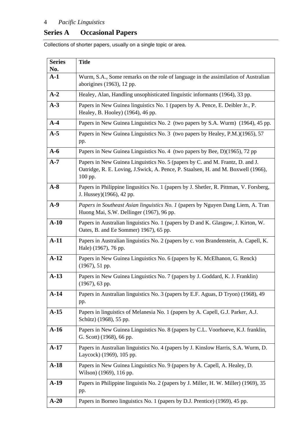## **Series A Occasional Papers**

Collections of shorter papers, usually on a single topic or area.

| <b>Series</b> | <b>Title</b>                                                                                                                                                                  |
|---------------|-------------------------------------------------------------------------------------------------------------------------------------------------------------------------------|
| No.<br>$A-1$  | Wurm, S.A., Some remarks on the role of language in the assimilation of Australian                                                                                            |
|               | aborigines (1963), 12 pp.                                                                                                                                                     |
| $A-2$         | Healey, Alan, Handling unsophisticated linguistic informants (1964), 33 pp.                                                                                                   |
| $A-3$         | Papers in New Guinea linguistics No. 1 (papers by A. Pence, E. Deibler Jr., P.<br>Healey, B. Hooley) (1964), 46 pp.                                                           |
| $A-4$         | Papers in New Guinea Linguistics No. 2 (two papers by S.A. Wurm) (1964), 45 pp.                                                                                               |
| $A-5$         | Papers in New Guinea Linguistics No. 3 (two papers by Healey, P.M.)(1965), 57<br>pp.                                                                                          |
| $A-6$         | Papers in New Guinea Linguistics No. 4 (two papers by Bee, D)(1965), 72 pp                                                                                                    |
| $A-7$         | Papers in New Guinea Linguistics No. 5 (papers by C. and M. Frantz, D. and J.<br>Oatridge, R. E. Loving, J.Swick, A. Pence, P. Staalsen, H. and M. Boxwell (1966),<br>100 pp. |
| $A-8$         | Papers in Philippine lingusitics No. 1 (papers by J. Shetler, R. Pittman, V. Forsberg,<br>J. Hussey)(1966), 42 pp.                                                            |
| $A-9$         | Papers in Southeast Asian linguistics No. 1 (papers by Nguyen Dang Liem, A. Tran<br>Huong Mai, S.W. Dellinger (1967), 96 pp.                                                  |
| $A-10$        | Papers in Australian linguistics No. 1 (papers by D and K. Glasgow, J. Kirton, W.<br>Oates, B. and Ee Sommer) 1967), 65 pp.                                                   |
| $A-11$        | Papers in Australian linguistics No. 2 (papers by c. von Brandenstein, A. Capell, K.<br>Hale) (1967), 76 pp.                                                                  |
| $A-12$        | Papers in New Guinea Linguistics No. 6 (papers by K. McElhanon, G. Renck)<br>$(1967), 51$ pp.                                                                                 |
| $A-13$        | Papers in New Guinea Linguistics No. 7 (papers by J. Goddard, K. J. Franklin)<br>$(1967)$ , 63 pp.                                                                            |
| $A-14$        | Papers in Australian linguistics No. 3 (papers by E.F. Aguas, D Tryon) (1968), 49<br>pp.                                                                                      |
| $A-15$        | Papers in linguistics of Melanesia No. 1 (papers by A. Capell, G.J. Parker, A.J.<br>Schütz) (1968), 55 pp.                                                                    |
| $A-16$        | Papers in New Guinea Linguistics No. 8 (papers by C.L. Voorhoeve, K.J. franklin,<br>G. Scott) (1968), 66 pp.                                                                  |
| $A-17$        | Papers in Australian linguistics No. 4 (papers by J. Kinslow Harris, S.A. Wurm, D.<br>Laycock) (1969), 105 pp.                                                                |
| $A-18$        | Papers in New Guinea Linguistics No. 9 (papers by A. Capell, A. Healey, D.<br>Wilson) (1969), 116 pp.                                                                         |
| $A-19$        | Papers in Philippine linguistis No. 2 (papers by J. Miller, H. W. Miller) (1969), 35<br>pp.                                                                                   |
| $A-20$        | Papers in Borneo linguistics No. 1 (papers by D.J. Prentice) (1969), 45 pp.                                                                                                   |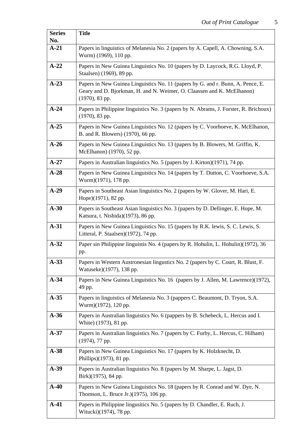| <b>Series</b> | <b>Title</b>                                                                                                                                                                  |
|---------------|-------------------------------------------------------------------------------------------------------------------------------------------------------------------------------|
| No.           |                                                                                                                                                                               |
| $A-21$        | Papers in linguistics of Melanesia No. 2 (papers by A. Capell, A. Chowning, S.A.<br>Wurm) (1969), 110 pp.                                                                     |
| $A-22$        | Papers in New Guinea Linguistics No. 10 (papers by D. Laycock, R.G. Lloyd, P.<br>Staalsen) (1969), 89 pp.                                                                     |
| $A-23$        | Papers in New Guinea Linguistics No. 11 (papers by G. and r. Bunn, A. Pence, E.<br>Geary and D. Bjorkman, H. and N. Weimer, O. Claassen and K. McElhanon)<br>$(1970), 83$ pp. |
| $A-24$        | Papers in Philippine linguistics No. 3 (papers by N. Abrams, J. Forster, R. Brichoux)<br>$(1970)$ , 83 pp.                                                                    |
| $A-25$        | Papers in New Guinea Linguistics No. 12 (papers by C. Voorhoeve, K. McElhanon,<br>B. and R. Blowers) (1970), 66 pp.                                                           |
| $A-26$        | Papers in New Guinea Linguistics No. 13 (papers by B. Blowers, M. Griffin, K.<br>McElhanon) (1970), 52 pp.                                                                    |
| $A-27$        | Papers in Australian linguistics No. 5 (papers by J. Kirton)(1971), 74 pp.                                                                                                    |
| $A-28$        | Papers in New Guinea Linguistics No. 14 (papers by T. Dutton, C. Voorhoeve, S.A.<br>Wurm)(1971), 178 pp.                                                                      |
| $A-29$        | Papers in Southeast Asian linguistics No. 2 (papers by W. Glover, M. Hari, E.<br>Hope)(1971), 82 pp.                                                                          |
| $A-30$        | Papers in Southeast Asian linguistics No. 3 (papers by D. Dellinger, E. Hope, M.<br>Katsura, t. Nishida)(1973), 86 pp.                                                        |
| $A-31$        | Papers in New Guinea Linguistics No. 15 (papers by R.K. lewis, S.C. Lewis, S.<br>Litteral, P. Staalsen)(1972), 74 pp.                                                         |
| $A-32$        | Paper sin Philippine linguistis No. 4 (papers by R. Hohulin, L. Hohulin)(1972), 36<br>pp.                                                                                     |
| $A-33$        | Papers in Western Austronesian lingustics No. 2 (papers by C. Court, R. Blust, F.<br>Watuseke)(1977), 138 pp.                                                                 |
| $A-34$        | Papers in New Guinea Linguistics No. 16 (papers by J. Allen, M. Lawrence)(1972),<br>49 pp.                                                                                    |
| $A-35$        | Papers in linguistics of Melanesia No. 3 (pappers C. Beaumont, D. Tryon, S.A.<br>Wurm)(1972), 120 pp.                                                                         |
| $A-36$        | Papers in Australian linguistics No. 6 (pappers by B. Schebeck, L. Hercus and I.<br>White) (1973), 81 pp.                                                                     |
| $A-37$        | Papers in Australian linguistics No. 7 (papers by C. Furby, L. Hercus, C. Hilham)<br>$(1974)$ , 77 pp.                                                                        |
| $A-38$        | Papers in New Guinea Linguistics No. 17 (papers by K. Holzknecht, D.<br>Phillips)(1973), 81 pp.                                                                               |
| $A-39$        | Papers in Australian linguistics No. 8 (papers by M. Sharpe, L. Jagst, D.<br>Birk)(1975), 84 pp.                                                                              |
| $A-40$        | Papers in New Guinea Linguistics No. 18 (papers by R. Conrad and W. Dye, N.<br>Thomson, L. Bruce Jr.)(1975), 106 pp.                                                          |
| $A-41$        | Papers in Philippine lingusitics No. 5 (papers by D. Chandler, E. Ruch, J.<br>Witucki)(1974), 78 pp.                                                                          |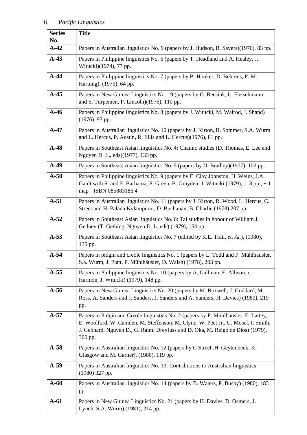| <b>Series</b><br>No. | <b>Title</b>                                                                                                                                                                                                                                                          |
|----------------------|-----------------------------------------------------------------------------------------------------------------------------------------------------------------------------------------------------------------------------------------------------------------------|
| $A-42$               | Papers in Australian linguistics No. 9 (papers by J. Hudson, B. Sayers)(1976), 83 pp.                                                                                                                                                                                 |
| $A-43$               | Papers in Philippine linguistics No. 6 (papers by T. Headland and A. Healey, J.<br>Witucki)(1974), 77 pp.                                                                                                                                                             |
| $A-44$               | Papers in Philippine linguistics No. 7 (papers by B. Hooker, D. Behrens, P. M.<br>Hartung), (1975), 64 pp.                                                                                                                                                            |
| $A-45$               | Papers in New Guinea Linguistics No. 19 (papers by G. Reesink, L. Fleischmann<br>and S. Turpeinen, P. Lincoln)(1976), 110 pp.                                                                                                                                         |
| $A-46$               | Papers in Philippine linguistics No. 8 (papers by J. Witucki, M. Walrod, J. Shand)<br>(1976), 93 pp.                                                                                                                                                                  |
| $A-47$               | Papers in Australian linguistics No. 10 (papers by J. Kirton, B. Sommer, S.A. Wurm<br>and L. Hercus, P. Austin, R. Ellis and L. Hercus)(1976), 81 pp.                                                                                                                 |
| $A-48$               | Papers in Southeast Asian linguistics No. 4: Chamic studies (D. Thomas, E. Lee and<br>Nguyen D. L., eds)(1977), 133 pp.                                                                                                                                               |
| $A-49$               | Papers in Southeast Asian linguistics No. 5 (papers by D. Bradley)(1977), 102 pp.                                                                                                                                                                                     |
| $A-50$               | Papers in Philippine linguistics No. 9 (papers by E. Clay Johnston, H. Weins, J.A.<br>Gault with S. and F. Barhama, P. Green, B. Grayden, J. Witucki.(1979), 113 pp., + 1<br>map ISBN 0858831864                                                                      |
| $A-51$               | Papers in Australian linguistics No. 11 (papers by J. Kirton, R. Wood, L. Hercus, C.<br>Street and H. Palada Kulampurut, D. Buchanan, B. Charlie.(1978) 207 pp.                                                                                                       |
| $A-52$               | Papers in Southeast Asian linguistics No. 6: Tai studies in honour of William J.<br>Gedney (T. Gething, Nguyen D. L. eds) (1979), 154 pp.                                                                                                                             |
| $A-53$               | Papers in Southeast Asian linguistics No. 7 (edited by R.E. Trail, et. Al.), (1980),<br>135 pp.                                                                                                                                                                       |
| $A-54$               | Papers in pidgin and creole linguistics No. 1 (papers by L. Todd and P. Mühlhäusler,<br>S.a. Wurm, J. Platt, P. Mühlhäusler, D. Walsh) (1978), 203 pp.                                                                                                                |
| $A-55$               | Papers in Philippine linguistics No. 10 (papers by A. Gallman, E. Allison, c.<br>Harmon, J. Witucki) (1979), 148 pp.                                                                                                                                                  |
| $A-56$               | Papers in New Guinea Linguistics No. 20 (papers by M. Boxwell, J. Goddard, M.<br>Ross, A. Sanders and J. Sanders, J. Sanders and A. Sanders, H. Davies) (1980), 219<br>pp.                                                                                            |
| $A-57$               | Papers in Pidgin and Creole linguistics No. 2 (papers by P. Mühlhäusler, E. Lattey,<br>E. Woolford, W. Camden, M. Steffenson, M. Clyne, W. Peet Jr., U. Mosel, I. Smith,<br>J. Gebhard, Nguyen D., G. Raimi Dreyfuss and D. Oka, M. Reigo de Dios) (1979),<br>300 pp. |
| $A-58$               | Papers in Australian linguistics No. 12 (papers by C Street, H. Geytenbeek, K.<br>Glasgow and M. Garner), (1980), 119 pp.                                                                                                                                             |
| $A-59$               | Papers in Australian linguistics No. 13: Contributions to Australian linguistics<br>(1980) 327 pp.                                                                                                                                                                    |
| $A-60$               | Papers in Australian linguistics No. 14 (papers by B. Waters, P. Busby) (1980), 183<br>pp.                                                                                                                                                                            |
| $A-61$               | Papers in New Guinea Linguistics No. 21 (papers by H. Davies, D. Osmers, J.<br>Lynch, S.A. Wurm) (1981), 214 pp.                                                                                                                                                      |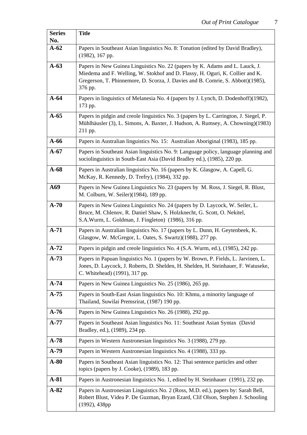| <b>Series</b> | <b>Title</b>                                                                                                                                                                                                                                                |
|---------------|-------------------------------------------------------------------------------------------------------------------------------------------------------------------------------------------------------------------------------------------------------------|
| No.<br>$A-62$ | Papers in Southeast Asian linguistics No. 8: Tonation (edited by David Bradley),                                                                                                                                                                            |
|               | $(1982)$ , 167 pp.                                                                                                                                                                                                                                          |
| $A-63$        | Papers in New Guinea Linguistics No. 22 (papers by K. Adams and L. Lauck, J.<br>Miedema and F. Welling, W. Stokhof and D. Flassy, H. Oguri, K. Collier and K.<br>Gregerson, T. Phinnemore, D. Scorza, J. Davies and B. Comrie, S. Abbott)(1985),<br>376 pp. |
| $A-64$        | Papers in linguistics of Melanesia No. 4 (papers by J. Lynch, D. Dodenhoff)(1982),<br>173 pp.                                                                                                                                                               |
| $A-65$        | Papers in pidgin and creole linguistics No. 3 (papers by L. Carrington, J. Siegel, P.<br>Mühlhäusler (3), L. Simons, A. Baxter, J. Hudson, A. Rumsey, A. Chowning)(1983)<br>211 pp.                                                                         |
| $A-66$        | Papers in Australian linguistics No. 15: Australian Aboriginal (1983), 185 pp.                                                                                                                                                                              |
| $A-67$        | Papers in Southeast Asian linguistics No. 9: Language policy, language planning and<br>sociolinguistics in South-East Asia (David Bradley ed.), (1985), 220 pp.                                                                                             |
| $A-68$        | Papers in Australian linguistics No. 16 (papers by K. Glasgow, A. Capell, G.<br>McKay, R. Kennedy, D. Trefry), (1984), 332 pp.                                                                                                                              |
| A69           | Papers in New Guinea Linguistics No. 23 (papers by M. Ross, J. Siegel, R. Blust,<br>M. Colburn, W. Seiler)(1984), 189 pp.                                                                                                                                   |
| $A-70$        | Papers in New Guinea Linguistics No. 24 (papers by D. Laycock, W. Seiler, L.<br>Bruce, M. Chlenov, R. Daniel Shaw, S. Holzknecht, G. Scott, O. Nekitel,<br>S.A.Wurm, L. Goldman, J. Fingleton) (1986), 316 pp.                                              |
| $A-71$        | Papers in Australian linguistics No. 17 (papers by L. Dunn, H. Geytenbeek, K.<br>Glasgow, W. McGregor, L. Oates, S. Swartz)(1988), 277 pp.                                                                                                                  |
| $A-72$        | Papers in pidgin and creole linguistics No. 4 (S.A. Wurm, ed.), (1985), 242 pp.                                                                                                                                                                             |
| $A-73$        | Papers in Papuan linguistics No. 1 (papers by W. Brown, P. Fields, L. Jarvinen, L.<br>Jones, D. Laycock, J. Roberts, D. Shelden, H. Shelden, H. Steinhauer, F. Watuseke,<br>C. Whitehead) (1991), 317 pp.                                                   |
| $A-74$        | Papers in New Guinea Linguistics No. 25 (1986), 265 pp.                                                                                                                                                                                                     |
| $A-75$        | Papers in South-East Asian linguistics No. 10: Khmu, a minority language of<br>Thailand, Suwilai Premsrirat, (1987) 190 pp.                                                                                                                                 |
| $A-76$        | Papers in New Guinea Linguistics No. 26 (1988), 292 pp.                                                                                                                                                                                                     |
| $A-77$        | Papers in Southeast Asian linguistics No. 11: Southeast Asian Syntax (David<br>Bradley, ed.), (1989), 234 pp.                                                                                                                                               |
| $A-78$        | Papers in Western Austronesian linguistics No. 3 (1988), 279 pp.                                                                                                                                                                                            |
| $A-79$        | Papers in Western Austronesian linguistics No. 4 (1988), 333 pp.                                                                                                                                                                                            |
| $A-80$        | Papers in Southeast Asian linguistics No. 12: Thai sentence particles and other<br>topics (papers by J. Cooke), (1989), 183 pp.                                                                                                                             |
| $A-81$        | Papers in Austronesian linguistics No. 1, edited by H. Steinhauer (1991), 232 pp.                                                                                                                                                                           |
| $A-82$        | Papers in Austronesian Linguistics No. 2 (Ross, M.D. ed.), papers by: Sarah Bell,<br>Robert Blust, Videa P. De Guzman, Bryan Ezard, Clif Olson, Stephen J. Schooling<br>$(1992)$ , 438pp                                                                    |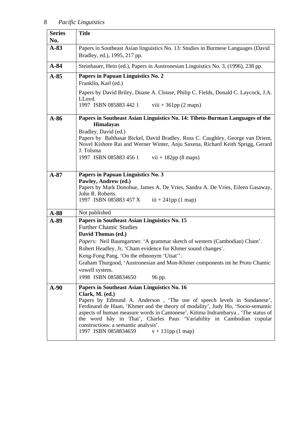| <b>Series</b> | <b>Title</b>                                                                                                                                                                                                                                                                                                                                                                                                                                                                    |
|---------------|---------------------------------------------------------------------------------------------------------------------------------------------------------------------------------------------------------------------------------------------------------------------------------------------------------------------------------------------------------------------------------------------------------------------------------------------------------------------------------|
| No.           |                                                                                                                                                                                                                                                                                                                                                                                                                                                                                 |
| $A-83$        | Papers in Southeast Asian linguistics No. 13: Studies in Burmese Languages (David<br>Bradley, ed.), 1995, 217 pp.                                                                                                                                                                                                                                                                                                                                                               |
| $A-84$        | Steinhauer, Hein (ed.), Papers in Austronesian Linguistics No. 3, (1996), 238 pp.                                                                                                                                                                                                                                                                                                                                                                                               |
| $A-85$        | Papers in Papuan Linguistics No. 2<br>Franklin, Karl (ed.)<br>Papers by David Briley, Duane A. Clouse, Philip C. Fields, Donald C. Laycock, J.A.<br>LLoyd.<br>1997 ISBN 085883 442 1<br>viii + $361pp(2$ maps)                                                                                                                                                                                                                                                                  |
| $A-86$        | Papers in Southeast Asian Linguistics No. 14: Tibeto-Burman Languages of the<br><b>Himalayas</b><br>Bradley, David (ed.)<br>Papers by Balthasar Bickel, David Bradley, Ross C. Caughley, George van Driem,<br>Novel Kishore Rai and Werner Winter, Anju Saxena, Richard Keith Sprigg, Gerard<br>J. Tolsma<br>1997 ISBN 085883 456 1<br>$vii + 182pp (8 maps)$                                                                                                                   |
| $A-87$        | Papers in Papuan Linguistics No. 3<br>Pawley, Andrew (ed.)<br>Papers by Mark Donohue, James A. De Vries, Sandra A. De Vries, Eileen Gasaway,<br>John R. Roberts.<br>1997 ISBN 085883 457 X<br>$iii + 241pp(1 map)$                                                                                                                                                                                                                                                              |
| $A-88$        | Not published                                                                                                                                                                                                                                                                                                                                                                                                                                                                   |
| A-89          | Papers in Southeast Asian Linguistics No. 15<br><b>Further Chamic Studies</b><br>David Thomas (ed.)<br>Papers: Neil Baumgartner. 'A grammar sketch of western (Cambodian) Cham'.<br>Robert Headley, Jr, 'Cham evidence for Khmer sound changes'.<br>Keng-Fong Pang, 'On the ethnonym 'Utsat''.<br>Graham Thurgood, 'Austronesian and Mon-Khmer components int he Proto Chamic<br>vowell system.<br>1998 ISBN 0858834650<br>96 pp.                                               |
| $A-90$        | Papers in Southeast Asian Linguistics No. 16<br>Clark, M. (ed.)<br>Papers by Edmund A. Anderson, 'The use of speech levels in Sundanese',<br>Ferdinand de Haan, 'Khmer and the theory of modality', Judy Ho, 'Socio-semantic<br>aspects of human measure words in Cantonese', Kitima Indrambarya, 'The status of<br>the word hây in Thai', Charles Paus 'Variability in Cambodian copular<br>constructions: a semantic analysis'.<br>1997 ISBN 0858834659<br>$v + 131pp(1 map)$ |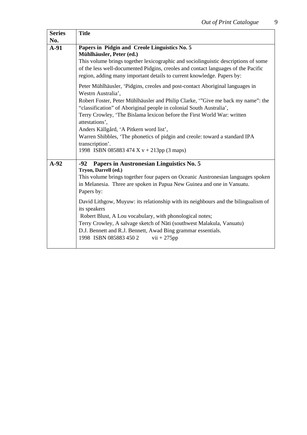| <b>Series</b><br>No. | <b>Title</b>                                                                                                                                                                                                                                                                                                                                                                                                                                                                                                                                                                                                |
|----------------------|-------------------------------------------------------------------------------------------------------------------------------------------------------------------------------------------------------------------------------------------------------------------------------------------------------------------------------------------------------------------------------------------------------------------------------------------------------------------------------------------------------------------------------------------------------------------------------------------------------------|
| $A-91$               | Papers in Pidgin and Creole Linguistics No. 5<br>Mühlhäusler, Peter (ed.)<br>This volume brings together lexicographic and sociolinguistic descriptions of some<br>of the less well-documented Pidgins, creoles and contact languages of the Pacific<br>region, adding many important details to current knowledge. Papers by:                                                                                                                                                                                                                                                                              |
|                      | Peter Mühlhäusler, 'Pidgins, creoles and post-contact Aboriginal languages in<br>Westrn Australia',<br>Robert Foster, Peter Mühlhäusler and Philip Clarke, "Give me back my name": the<br>"classification" of Aboriginal people in colonial South Australia',<br>Terry Crowley, 'The Bislama lexicon before the First World War: written<br>attestations',<br>Anders Källgård, 'A Pitkern word list',<br>Warren Shibbles, 'The phonetics of pidgin and creole: toward a standard IPA<br>transcription'.<br>1998 ISBN 085883 474 X v + 213pp (3 maps)                                                        |
| $A-92$               | Papers in Austronesian Linguistics No. 5<br>$-92$<br>Tryon, Darrell (ed.)<br>This volume brings together four papers on Oceanic Austronesian languages spoken<br>in Melanesia. Three are spoken in Papua New Guinea and one in Vanuatu.<br>Papers by:<br>David Lithgow, Muyuw: its relationship with its neighbours and the bilingualism of<br>its speakers<br>Robert Blust, A Lou vocabulary, with phonological notes;<br>Terry Crowley, A salvage sketch of Nāti (southwest Malakula, Vanuatu)<br>D.J. Bennett and R.J. Bennett, Awad Bing grammar essentials.<br>1998 ISBN 085883 450 2<br>$vii + 275pp$ |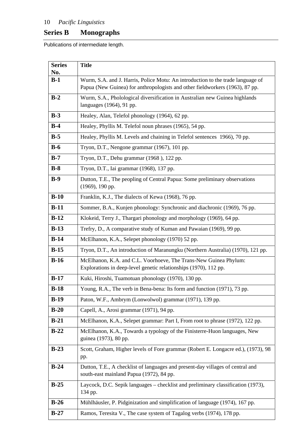## **Series B Monographs**

Publications of intermediate length.

| <b>Series</b><br>No. | <b>Title</b>                                                                                                                                                    |
|----------------------|-----------------------------------------------------------------------------------------------------------------------------------------------------------------|
| $B-1$                | Wurm, S.A. and J. Harris, Police Motu: An introduction to the trade language of<br>Papua (New Guinea) for anthropologists and other fieldworkers (1963), 87 pp. |
| $B-2$                | Wurm, S.A., Pholological diversification in Australian new Guinea highlands<br>languages (1964), 91 pp.                                                         |
| $B-3$                | Healey, Alan, Telefol phonology (1964), 62 pp.                                                                                                                  |
| $B-4$                | Healey, Phyllis M. Telefol noun phrases (1965), 54 pp.                                                                                                          |
| $B-5$                | Healey, Phyllis M. Levels and chaining in Telefol sentences 1966), 70 pp.                                                                                       |
| $B-6$                | Tryon, D.T., Nengone grammar (1967), 101 pp.                                                                                                                    |
| $B-7$                | Tryon, D.T., Dehu grammar (1968), 122 pp.                                                                                                                       |
| $B-8$                | Tryon, D.T., Iai grammar (1968), 137 pp.                                                                                                                        |
| $B-9$                | Dutton, T.E., The peopling of Central Papua: Some preliminary observations<br>(1969), 190 pp.                                                                   |
| $B-10$               | Franklin, K.J., The dialects of Kewa (1968), 76 pp.                                                                                                             |
| $B-11$               | Sommer, B.A., Kunjen phonology: Synchronic and diachronic (1969), 76 pp.                                                                                        |
| $B-12$               | Klokeid, Terry J., Thargari phonology and morphology (1969), 64 pp.                                                                                             |
| $B-13$               | Trefry, D., A comparative study of Kuman and Pawaian (1969), 99 pp.                                                                                             |
| $B-14$               | McElhanon, K.A., Selepet phonology (1970) 52 pp.                                                                                                                |
| $B-15$               | Tryon, D.T., An introduction of Maranungku (Northern Australia) (1970), 121 pp.                                                                                 |
| $B-16$               | McElhanon, K.A. and C.L. Voorhoeve, The Trans-New Guinea Phylum:<br>Explorations in deep-level genetic relationships (1970), 112 pp.                            |
| $B-17$               | Kuki, Hiroshi, Tuamotuan phonology (1970), 130 pp.                                                                                                              |
| $B-18$               | Young, R.A., The verb in Bena-bena: Its form and function (1971), 73 pp.                                                                                        |
| $B-19$               | Paton, W.F., Ambrym (Lonwolwol) grammar (1971), 139 pp.                                                                                                         |
| $B-20$               | Capell, A., Arosi grammar (1971), 94 pp.                                                                                                                        |
| $B-21$               | McElhanon, K.A., Selepet grammar: Part I, From root to phrase (1972), 122 pp.                                                                                   |
| $B-22$               | McElhanon, K.A., Towards a typology of the Finisterre-Huon languages, New<br>guinea (1973), 80 pp.                                                              |
| $B-23$               | Scott, Graham, Higher levels of Fore grammar (Robert E. Longacre ed.), (1973), 98<br>pp.                                                                        |
| $B-24$               | Dutton, T.E., A checklist of languages and present-day villages of central and<br>south-east mainland Papua (1972), 84 pp.                                      |
| $B-25$               | Laycock, D.C. Sepik languages – checklist and preliminary classification (1973),<br>134 pp.                                                                     |
| $B-26$               | Mühlhäusler, P. Pidginization and simplification of language (1974), 167 pp.                                                                                    |
| $B-27$               | Ramos, Teresita V., The case system of Tagalog verbs (1974), 178 pp.                                                                                            |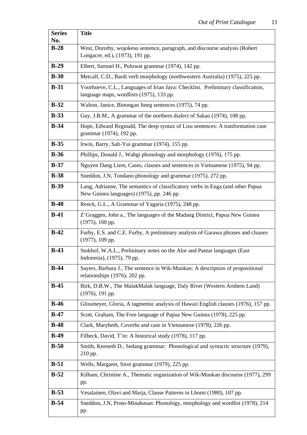| <b>Series</b> | <b>Title</b>                                                                                                                 |
|---------------|------------------------------------------------------------------------------------------------------------------------------|
| No.<br>$B-28$ |                                                                                                                              |
|               | West, Dorothy, wojokeso sentence, paragraph, and discourse analysis (Robert<br>Longacre, ed.), (1973), 191 pp.               |
| $B-29$        | Elbert, Samuel H., Puluwat grammar (1974), 142 pp.                                                                           |
| $B-30$        | Metcalf, C.D., Bardi verb morphology (northwestern Australia) (1975), 225 pp.                                                |
| $B-31$        | Voorhoeve, C.L., Languages of Irian Jaya: Checklist. Preliminary classificaiton,<br>language maps, wordlists (1975), 133 pp. |
| $B-32$        | Walton, Janice, Binongan Itneg sentences (1975), 74 pp.                                                                      |
| $B-33$        | Guy, J.B.M., A grammar of the northern dialect of Sakao (1974), 108 pp.                                                      |
| $B-34$        | Hope, Edward Reginald, The deep syntax of Lisu sentences: A tranformation case<br>grammar (1974), 192 pp.                    |
| $B-35$        | Irwin, Barry, Salt-Yui grammar (1974), 155 pp.                                                                               |
| $B-36$        | Phillips, Donald J., Wahgi phonology and morphology (1976), 175 pp.                                                          |
| $B-37$        | Nguyen Dang Liem, Cases, clauses and sentences in Vietnamese (1975), 94 pp.                                                  |
| $B-38$        | Sneddon, J.N, Tondano phonology and grammar (1975), 272 pp.                                                                  |
| $B-39$        | Lang, Adrianne, The semantics of classificatory verbs in Enga (and other Papua<br>New Guinea languages) (1975), pp. 246 pp.  |
| $B-40$        | Renck, G.L., A Grammar of Yagaria (1975), 248 pp.                                                                            |
| $B-41$        | Z'Graggen, John a., The languages of the Madang District, Papua New Guinea<br>$(1975)$ , 160 pp.                             |
| $B-42$        | Furby, E.S. and C.E. Furby, A preliminary analysis of Garawa phrases and cluases<br>$(1977)$ , 109 pp.                       |
| $B-43$        | Stokhof, W.A.L., Prelininary notes on the Alor and Pantar languages (East<br>Indonesia), (1975), 79 pp.                      |
| $B-44$        | Sayers, Barbara J., The sentence in Wik-Munkan: A description of propositional<br>relationships (1976), 202 pp.              |
| $B-45$        | Birk, D.B.W., The MalakMalak language, Daly River (Western Arnhem Land)<br>$(1976)$ , 191 pp.                                |
| $B-46$        | Glissmeyer, Gloria, A tagmemic analysis of Hawaii English clauses (1976), 157 pp.                                            |
| $B-47$        | Scott, Graham, The Fore language of Papua New Guinea (1978), 225 pp.                                                         |
| $B-48$        | Clark, Marybeth, Coverbs and case in Vietnamese (1978), 226 pp.                                                              |
| $B-49$        | Filbeck, David, T'in: A historical study (1978), 117 pp.                                                                     |
| $B-50$        | Smith, Kenneth D., Sedang grammar: Phonological and syntactic structure (1979),<br>210 pp.                                   |
| $B-51$        | Wells, Margaret, Siroi grammar (1979), 225 pp.                                                                               |
| $B-52$        | Kilham, Christine A., Thematic organization of Wik-Munkan discourse (1977), 299<br>pp.                                       |
| $B-53$        | Vesalainen, Olavi and Marja, Clause Patterns in Lhomi (1980), 107 pp.                                                        |
| $B-54$        | Sneddon, J.N, Proto-Minahasan: Phonology, morphology and wordlist (1978), 214<br>pp.                                         |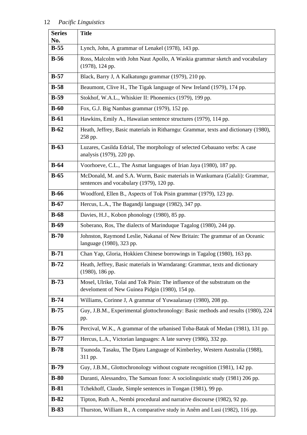| <b>Series</b><br>No. | <b>Title</b>                                                                                                                  |
|----------------------|-------------------------------------------------------------------------------------------------------------------------------|
| $B-55$               | Lynch, John, A grammar of Lenakel (1978), 143 pp.                                                                             |
| $B-56$               | Ross, Malcolm with John Naut Apollo, A Waskia grammar sketch and vocabulary<br>$(1978)$ , 124 pp.                             |
| $B-57$               | Black, Barry J, A Kalkatungu grammar (1979), 210 pp.                                                                          |
| $B-58$               | Beaumont, Clive H., The Tigak language of New Ireland (1979), 174 pp.                                                         |
| $B-59$               | Stokhof, W.A.L., Whiskier II: Phonemics (1979), 199 pp.                                                                       |
| $B-60$               | Fox, G.J. Big Nambas grammar (1979), 152 pp.                                                                                  |
| $B-61$               | Hawkins, Emily A., Hawaiian sentence structures (1979), 114 pp.                                                               |
| $B-62$               | Heath, Jeffrey, Basic materials in Ritharngu: Grammar, texts and dictionary (1980),<br>258 pp.                                |
| $B-63$               | Luzares, Casilda Edrial, The morphology of selected Cebauano verbs: A case<br>analysis (1979), 220 pp.                        |
| $B-64$               | Voorhoeve, C.L., The Asmat languages of Irian Jaya (1980), 187 pp.                                                            |
| $B-65$               | McDonald, M. and S.A. Wurm, Basic materials in Wankumara (Galali): Grammar,<br>sentences and vocabulary (1979), 120 pp.       |
| $B-66$               | Woodford, Ellen B., Aspects of Tok Pisin grammar (1979), 123 pp.                                                              |
| $B-67$               | Hercus, L.A., The Bagandji language (1982), 347 pp.                                                                           |
| $B-68$               | Davies, H.J., Kobon phonology (1980), 85 pp.                                                                                  |
| $B-69$               | Soberano, Ros, The dialects of Marinduque Tagalog (1980), 244 pp.                                                             |
| $B-70$               | Johnston, Raymond Leslie, Nakanai of New Britain: The grammar of an Oceanic<br>language (1980), 323 pp.                       |
| $B-71$               | Chan Yap, Gloria, Hokkien Chinese borrowings in Tagalog (1980), 163 pp.                                                       |
| $B-72$               | Heath, Jeffrey, Basic materials in Warndarang: Grammar, texts and dictionary<br>$(1980)$ , 186 pp.                            |
| $B-73$               | Mosel, Ulrike, Tolai and Tok Pisin: The influence of the substratum on the<br>develoment of New Guinea Pidgin (1980), 154 pp. |
| $B-74$               | Williams, Corinne J, A grammar of Yuwaalaraay (1980), 208 pp.                                                                 |
| $B-75$               | Guy, J.B.M., Experimental glottochronology: Basic methods and results (1980), 224<br>pp.                                      |
| $B-76$               | Percival, W.K., A grammar of the urbanised Toba-Batak of Medan (1981), 131 pp.                                                |
| $B-77$               | Hercus, L.A., Victorian languages: A late survey (1986), 332 pp.                                                              |
| $B-78$               | Tsunoda, Tasaku, The Djaru Language of Kimberley, Western Australia (1988),<br>311 pp.                                        |
| $B-79$               | Guy, J.B.M., Glottochronology without cognate recognition (1981), 142 pp.                                                     |
| $B-80$               | Duranti, Alessandro, The Samoan fono: A sociolinguistic study (1981) 206 pp.                                                  |
| $B-81$               | Tchekhoff, Claude, Simple sentences in Tongan (1981), 99 pp.                                                                  |
| $B-82$               | Tipton, Ruth A., Nembi procedural and narrative discourse (1982), 92 pp.                                                      |
| $B-83$               | Thurston, William R., A comparative study in Anêm and Lusi (1982), 116 pp.                                                    |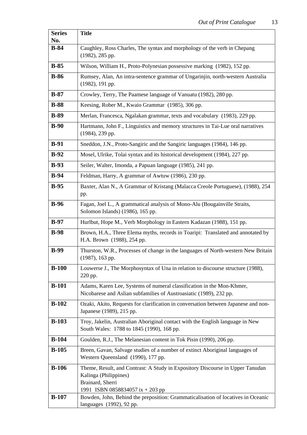| <b>Series</b><br>No. | <b>Title</b>                                                                                                                                                   |
|----------------------|----------------------------------------------------------------------------------------------------------------------------------------------------------------|
| $B-84$               | Caughley, Ross Charles, The syntax and morphology of the verb in Chepang                                                                                       |
|                      | (1982), 285 pp.                                                                                                                                                |
| $B-85$               | Wilson, William H., Proto-Polynesian possessive marking (1982), 152 pp.                                                                                        |
| $B-86$               | Rumsey, Alan, An intra-sentence grammar of Ungarinjin, north-western Australia<br>$(1982)$ , 191 pp.                                                           |
| $B-87$               | Crowley, Terry, The Paamese language of Vanuatu (1982), 280 pp.                                                                                                |
| $B-88$               | Keesing, Rober M., Kwaio Grammar (1985), 306 pp.                                                                                                               |
| $B-89$               | Merlan, Francesca, Ngalakan grammar, texts and vocabulary (1983), 229 pp.                                                                                      |
| $B-90$               | Hartmann, John F., Linguistics and memory structures in Tai-Lue oral narratives<br>$(1984)$ , 239 pp.                                                          |
| $B-91$               | Sneddon, J.N., Proto-Sangiric and the Sangiric languages (1984), 146 pp.                                                                                       |
| $B-92$               | Mosel, Ulrike, Tolai syntax and its historical development (1984), 227 pp.                                                                                     |
| $B-93$               | Seiler, Walter, Imonda, a Papuan language (1985), 241 pp.                                                                                                      |
| $B-94$               | Feldman, Harry, A grammar of Awtuw (1986), 230 pp.                                                                                                             |
| $B-95$               | Baxter, Alan N., A Grammar of Kristang (Malacca Creole Portuguese), (1988), 254<br>pp.                                                                         |
| $B-96$               | Fagan, Joel L., A grammatical analysis of Mono-Alu (Bougainville Straits,<br>Solomon Islands) (1986), 165 pp.                                                  |
| $B-97$               | Hurlbut, Hope M., Verb Morphology in Eastern Kadazan (1988), 151 pp.                                                                                           |
| $B-98$               | Brown, H.A., Three Elema myths, records in Toaripi: Translated and annotated by<br>H.A. Brown (1988), 254 pp.                                                  |
| $B-99$               | Thurston, W.R., Processes of change in the languages of North-western New Britain<br>$(1987)$ , 163 pp.                                                        |
| $B-100$              | Louwerse J., The Morphosyntax of Una in relation to discourse structure (1988),<br>220 pp.                                                                     |
| $B-101$              | Adams, Karen Lee, Systems of numeral classification in the Mon-Khmer,<br>Nicobarese and Aslian subfamilies of Austroasiatic (1989), 232 pp.                    |
| $B-102$              | Ozaki, Akito, Requests for clarification in conversation between Japanese and non-<br>Japanese (1989), 215 pp.                                                 |
| $B-103$              | Troy, Jakelin, Australian Aboriginal contact with the English language in New<br>South Wales: 1788 to 1845 (1990), 168 pp.                                     |
| $B-104$              | Goulden, R.J., The Melanesian content in Tok Pisin (1990), 206 pp.                                                                                             |
| $B-105$              | Breen, Gavan, Salvage studies of a number of extinct Aboriginal languages of<br>Western Queensland (1990), 177 pp.                                             |
| $B-106$              | Theme, Result, and Contrast: A Study in Expository Discourse in Upper Tanudan<br>Kalinga (Philippines)<br>Brainard, Sherri<br>1991 ISBN 0858834057 ix + 203 pp |
| $B-107$              | Bowden, John, Behind the preposition: Grammaticalisation of locatives in Oceanic<br>languages (1992), 92 pp.                                                   |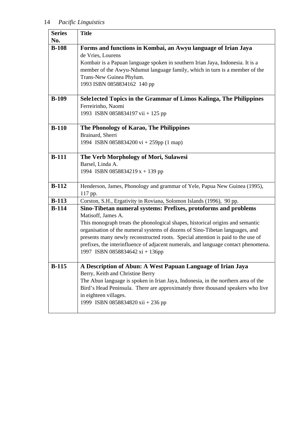ŕ

| <b>Series</b> | <b>Title</b>                                                                                        |
|---------------|-----------------------------------------------------------------------------------------------------|
| No.           |                                                                                                     |
| $B-108$       | Forms and functions in Kombai, an Awyu language of Irian Jaya                                       |
|               | de Vries, Lourens<br>Kombair is a Papuan language spoken in southern Irian Jaya, Indonesia. It is a |
|               | member of the Awyu-Ndumut language family, which in turn is a member of the                         |
|               | Trans-New Guinea Phylum.                                                                            |
|               | 1993 ISBN 0858834162 140 pp                                                                         |
|               |                                                                                                     |
| $B-109$       | Sele1ected Topics in the Grammar of Limos Kalinga, The Philippines                                  |
|               | Ferreirinho, Naomi                                                                                  |
|               | 1993 ISBN 0858834197 vii + 125 pp                                                                   |
|               |                                                                                                     |
| $B-110$       | The Phonology of Karao, The Philippines                                                             |
|               | Brainard, Sherri                                                                                    |
|               | 1994 ISBN 0858834200 vi + 259pp (1 map)                                                             |
| $B-111$       | The Verb Morphology of Mori, Sulawesi                                                               |
|               | Barsel, Linda A.                                                                                    |
|               | 1994 ISBN 0858834219 $x + 139$ pp                                                                   |
| $B-112$       |                                                                                                     |
|               | Henderson, James, Phonology and grammar of Yele, Papua New Guinea (1995),<br>117 pp.                |
| $B-113$       | Corston, S.H., Ergativity in Roviana, Solomon Islands (1996), 90 pp.                                |
| $B-114$       | Sino-Tibetan numeral systems: Prefixes, protoforms and problems                                     |
|               | Matisoff, James A.                                                                                  |
|               | This monograph treats the phonological shapes, historical origins and semantic                      |
|               | organisation of the numeral systems of dozens of Sino-Tibetan languages, and                        |
|               | presents many newly reconstructed roots. Special attention is paid to the use of                    |
|               | prefixes, the interinfluence of adjacent numerals, and language contact phenomena.                  |
|               | 1997 ISBN 0858834642 xi + 136pp                                                                     |
| $B-115$       | A Description of Abun: A West Papuan Language of Irian Jaya                                         |
|               | Berry, Keith and Christine Berry                                                                    |
|               | The Abun language is spoken in Irian Jaya, Indonesia, in the northern area of the                   |
|               | Bird's Head Peninsula. There are approximately three thousand speakers who live                     |
|               | in eighteen villages.                                                                               |
|               | 1999 ISBN 0858834820 xii + 236 pp                                                                   |
|               |                                                                                                     |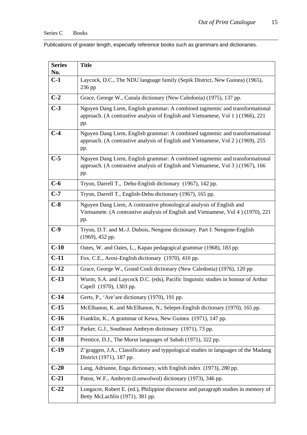Publications of greater length, especially reference books such as grammars and dictionaries.

| <b>Series</b> | <b>Title</b>                                                                                                                                                          |
|---------------|-----------------------------------------------------------------------------------------------------------------------------------------------------------------------|
| No.<br>$C-1$  |                                                                                                                                                                       |
|               | Laycock, D.C., The NDU language family (Sepik District, New Guinea) (1965),<br>236 pp                                                                                 |
| $C-2$         | Grace, George W., Canala dictionary (New Caledonia) (1975), 137 pp.                                                                                                   |
| $C-3$         | Nguyen Dang Liem, English grammar: A combined tagmemic and transformational<br>approach. (A contrastive analysis of English and Vietnamese, Vol 1) (1966), 221<br>pp. |
| $C-4$         | Nguyen Dang Liem, English grammar: A combined tagmemic and transformational<br>approach. (A contrastive analysis of English and Vietnamese, Vol 2) (1969), 255<br>pp. |
| $C-5$         | Nguyen Dang Liem, English grammar: A combined tagmemic and transformational<br>approach. (A contrastive analysis of English and Vietnamese, Vol 3) (1967), 166<br>pp. |
| $C-6$         | Tryon, Darrell T., Dehu-English dictionary (1967), 142 pp.                                                                                                            |
| $C-7$         | Tryon, Darrell T., English-Dehu dictionary (1967), 165 pp.                                                                                                            |
| $C-8$         | Nguyen Dang Liem, A contrastive phonological analysis of English and<br>Vietnamete. (A contrastive analysis of English and Vietnamese, Vol 4) (1970), 221<br>pp.      |
| $C-9$         | Tryon, D.T. and M.-J. Dubois, Nengone dictionary. Part I: Nengone-English<br>$(1969)$ , 452 pp.                                                                       |
| $C-10$        | Oates, W. and Oates, L., Kapau pedagogical grammar (1968), 183 pp.                                                                                                    |
| $C-11$        | Fox, C.E., Arosi-English dictionary (1970), 410 pp.                                                                                                                   |
| $C-12$        | Grace, George W., Grand Couli dictionary (New Caledonia) (1976), 120 pp.                                                                                              |
| $C-13$        | Wurm, S.A. and Laycock D.C. (eds), Pacific linguistic studies in honour of Arthur<br>Capell (1970), 1303 pp.                                                          |
| $C-14$        | Gerts, P., 'Are' are dictionary (1970), 191 pp.                                                                                                                       |
| $C-15$        | McElhanon, K. and McElhanon, N., Selepet-English dictionary (1970), 165 pp.                                                                                           |
| $C-16$        | Franklin, K., A grammar of Kewa, New Guinea (1971), 147 pp.                                                                                                           |
| $C-17$        | Parker, G.J., Southeast Ambrym dictionary (1971), 73 pp.                                                                                                              |
| $C-18$        | Prentice, D.J., The Murut languages of Sabah (1971), 322 pp.                                                                                                          |
| $C-19$        | Z' graggen, J.A., Classificatory and typpological studies in languages of the Madang<br>District (1971), 187 pp.                                                      |
| $C-20$        | Lang, Adrianne, Enga dictionary, with English index (1973), 280 pp.                                                                                                   |
| $C-21$        | Paton, W.F., Ambrym (Lonwolwol) dictionary (1973), 346 pp.                                                                                                            |
| $C-22$        | Longacre, Robert E. (ed.), Philippine discourse and paragraph studies in memory of<br>Betty McLachlin (1971), 381 pp.                                                 |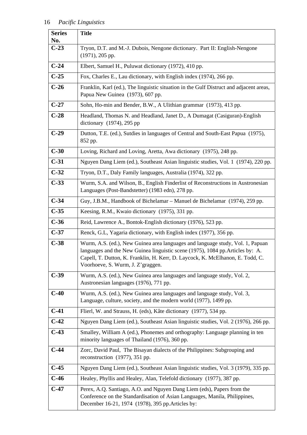| <b>Series</b><br>No. | <b>Title</b>                                                                                                                                                                                                                                                                            |
|----------------------|-----------------------------------------------------------------------------------------------------------------------------------------------------------------------------------------------------------------------------------------------------------------------------------------|
| $C-23$               | Tryon, D.T. and M.-J. Dubois, Nengone dictionary. Part II: English-Nengone<br>$(1971)$ , 205 pp.                                                                                                                                                                                        |
| $C-24$               | Elbert, Samuel H., Puluwat dictionary (1972), 410 pp.                                                                                                                                                                                                                                   |
| $C-25$               | Fox, Charles E., Lau dictionary, with English index (1974), 266 pp.                                                                                                                                                                                                                     |
| $C-26$               | Franklin, Karl (ed.), The linguistic situation in the Gulf Distruct and adjacent areas,<br>Papua New Guinea (1973), 607 pp.                                                                                                                                                             |
| $C-27$               | Sohn, Ho-min and Bender, B.W., A Ulithian grammar (1973), 413 pp.                                                                                                                                                                                                                       |
| $C-28$               | Headland, Thomas N. and Headland, Janet D., A Dumagat (Casiguran)-English<br>dictionary $(1974)$ , 295 pp                                                                                                                                                                               |
| $C-29$               | Dutton, T.E. (ed.), Sutdies in languages of Central and South-East Papua (1975),<br>852 pp.                                                                                                                                                                                             |
| $C-30$               | Loving, Richard and Loving, Aretta, Awa dictionary (1975), 248 pp.                                                                                                                                                                                                                      |
| $C-31$               | Nguyen Dang Liem (ed.), Southeast Asian linguistic studies, Vol. 1 (1974), 220 pp.                                                                                                                                                                                                      |
| $C-32$               | Tryon, D.T., Daly Family languages, Australia (1974), 322 pp.                                                                                                                                                                                                                           |
| $C-33$               | Wurm, S.A. and Wilson, B., English Finderlist of Reconstructions in Austronesian<br>Languages (Post-Bandstetter) (1983 edn), 278 pp.                                                                                                                                                    |
| $C-34$               | Guy, J.B.M., Handbook of Bichelamar – Manuel de Bichelamar (1974), 259 pp.                                                                                                                                                                                                              |
| $C-35$               | Keesing, R.M., Kwaio dictionary (1975), 331 pp.                                                                                                                                                                                                                                         |
| $C-36$               | Reid, Lawrence A., Bontok-English dictionary (1976), 523 pp.                                                                                                                                                                                                                            |
| $C-37$               | Renck, G.L, Yagaria dictionary, with English index (1977), 356 pp.                                                                                                                                                                                                                      |
| $C-38$               | Wurm, A.S. (ed.), New Guinea area languages and language study, Vol. 1, Papuan<br>languages and the New Guinea linguistic scene (1975), 1084 pp. Articles by: A.<br>Capell, T. Dutton, K. Franklin, H. Kerr, D. Laycock, K. McElhanon, E. Todd, C.<br>Voorhoeve, S. Wurm, J. Z'graggen. |
| $C-39$               | Wurm, A.S. (ed.), New Guinea area languages and language study, Vol. 2,<br>Austronesian languages (1976), 771 pp.                                                                                                                                                                       |
| $C-40$               | Wurm, A.S. (ed.), New Guinea area languages and language study, Vol. 3,<br>Language, culture, society, and the modern world (1977), 1499 pp.                                                                                                                                            |
| $C-41$               | Flierl, W. and Strauss, H. (eds), Kâte dictionary (1977), 534 pp.                                                                                                                                                                                                                       |
| $C-42$               | Nguyen Dang Liem (ed.), Southeast Asian linguistic studies, Vol. 2 (1976), 266 pp.                                                                                                                                                                                                      |
| $C-43$               | Smalley, William A (ed.), Phonemes and orthography: Language planning in ten<br>minority languages of Thailand (1976), 360 pp.                                                                                                                                                          |
| $C-44$               | Zorc, David Paul, The Bisayan dialects of the Philippines: Subgrouping and<br>reconstruction (1977), 351 pp.                                                                                                                                                                            |
| $C-45$               | Nguyen Dang Liem (ed.), Southeast Asian linguistic studies, Vol. 3 (1979), 335 pp.                                                                                                                                                                                                      |
| $C-46$               | Healey, Phyllis and Healey, Alan, Telefold dictionary (1977), 387 pp.                                                                                                                                                                                                                   |
| $C-47$               | Perex, A.Q. Santiago, A.O. and Nguyen Dang Liem (eds), Papers from the<br>Conference on the Standardisation of Asian Languages, Manila, Philippines,<br>December 16-21, 1974 (1978), 395 pp. Articles by:                                                                               |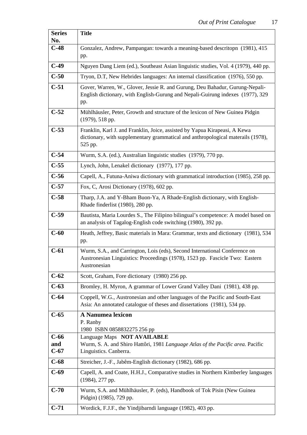| <b>Series</b>           | <b>Title</b>                                                                                                                                                               |
|-------------------------|----------------------------------------------------------------------------------------------------------------------------------------------------------------------------|
| No.<br>$C-48$           | Gonzalez, Andrew, Pampangan: towards a meaning-based descritopn (1981), 415                                                                                                |
|                         | pp.                                                                                                                                                                        |
| $C-49$                  | Nguyen Dang Liem (ed.), Southeast Asian linguistic studies, Vol. 4 (1979), 440 pp.                                                                                         |
| $C-50$                  | Tryon, D.T, New Hebrides languages: An internal classification (1976), 550 pp.                                                                                             |
| $C-51$                  | Gover, Warren, W., Glover, Jessie R. and Gurung, Deu Bahadur, Gurung-Nepali-<br>English dictionary, with English-Gurung and Nepali-Guirung indexes (1977), 329<br>pp.      |
| $C-52$                  | Mühlhäusler, Peter, Growth and structure of the lexicon of New Guinea Pidgin<br>(1979), 518 pp.                                                                            |
| $C-53$                  | Franklin, Karl J. and Franklin, Joice, assisted by Yapua Kirapeasi, A Kewa<br>dictionary, with supplementary grammatical and anthropological materails (1978),<br>525 pp.  |
| $C-54$                  | Wurm, S.A. (ed.), Australian linguistic studies (1979), 770 pp.                                                                                                            |
| $C-55$                  | Lynch, John, Lenakel dictionary (1977), 177 pp.                                                                                                                            |
| $C-56$                  | Capell, A., Futuna-Aniwa dictionary with grammatical introduction (1985), 258 pp.                                                                                          |
| $C-57$                  | Fox, C, Arosi Dictionary (1978), 602 pp.                                                                                                                                   |
| $C-58$                  | Tharp, J.A. and Y-Bham Buon-Ya, A Rhade-English dictionary, with English-<br>Rhade finderlist (1980), 280 pp.                                                              |
| $C-59$                  | Bautista, Maria Lourdes S., The Filipino bilingual's competence: A model based on<br>an analysis of Tagalog-English code switching (1980), 392 pp.                         |
| $C-60$                  | Heath, Jeffrey, Basic materials in Mara: Grammar, texts and dictionary (1981), 534<br>pp.                                                                                  |
| $C-61$                  | Wurm, S.A., and Carrington, Lois (eds), Second International Conference on<br>Austronesian Linguistics: Proceedings (1978), 1523 pp. Fascicle Two: Eastern<br>Austronesian |
| $C-62$                  | Scott, Graham, Fore dictionary (1980) 256 pp.                                                                                                                              |
| $C-63$                  | Bromley, H. Myron, A grammar of Lower Grand Valley Dani (1981), 438 pp.                                                                                                    |
| $C-64$                  | Coppell, W.G., Austronesian and other languages of the Pacific and South-East<br>Asia: An annotated catalogue of theses and dissertations (1981), 534 pp.                  |
| $C-65$                  | <b>A Nanumea lexicon</b><br>P. Ranby<br>1980 ISBN 0858832275 256 pp                                                                                                        |
| $C-66$<br>and<br>$C-67$ | Language Maps NOT AVAILABLE<br>Wurm, S. A. and Shiro Hattôri, 1981 Language Atlas of the Pacific area. Pacific<br>Linguistics. Canberra.                                   |
| $C-68$                  | Streicher, J.-F., Jabêm-English dictionary (1982), 686 pp.                                                                                                                 |
| $C-69$                  | Capell, A. and Coate, H.H.J., Comparative studies in Northern Kimberley languages<br>(1984), 277 pp.                                                                       |
| $C-70$                  | Wurm, S.A. and Mühlhäusler, P. (eds), Handbook of Tok Pisin (New Guinea)<br>Pidgin) (1985), 729 pp.                                                                        |
| $C-71$                  | Wordick, F.J.F., the Yindjibarndi language (1982), 403 pp.                                                                                                                 |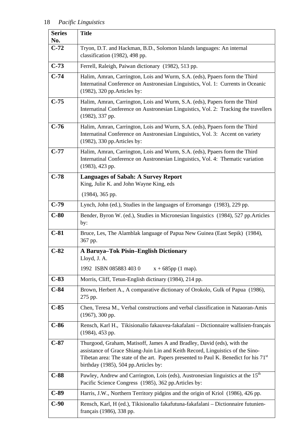| <b>Series</b><br>No. | <b>Title</b>                                                                                                                                                                                                                                                                                           |
|----------------------|--------------------------------------------------------------------------------------------------------------------------------------------------------------------------------------------------------------------------------------------------------------------------------------------------------|
| $C-72$               | Tryon, D.T. and Hackman, B.D., Solomon Islands languages: An internal<br>classification (1982), 498 pp.                                                                                                                                                                                                |
| $C-73$               | Ferrell, Raleigh, Paiwan dictionary (1982), 513 pp.                                                                                                                                                                                                                                                    |
| $C-74$               | Halim, Amran, Carrington, Lois and Wurm, S.A. (eds), Ppaers form the Third<br>Internatinal Conference on Austronesian Linguistics, Vol. 1: Currents in Oceanic<br>(1982), 320 pp. Articles by:                                                                                                         |
| $C-75$               | Halim, Amran, Carrington, Lois and Wurm, S.A. (eds), Papers form the Third<br>Internatinal Conference on Austronesian Linguistics, Vol. 2: Tracking the travellers<br>$(1982)$ , 337 pp.                                                                                                               |
| $C-76$               | Halim, Amran, Carrington, Lois and Wurm, S.A. (eds), Ppaers form the Third<br>Internatinal Conference on Austronesian Linguistics, Vol. 3: Accent on variety<br>(1982), 330 pp. Articles by:                                                                                                           |
| $C-77$               | Halim, Amran, Carrington, Lois and Wurm, S.A. (eds), Ppaers form the Third<br>Internatinal Conference on Austronesian Linguistics, Vol. 4: Thematic variation<br>$(1983)$ , 423 pp.                                                                                                                    |
| $C-78$               | <b>Languages of Sabah: A Survey Report</b><br>King, Julie K. and John Wayne King, eds                                                                                                                                                                                                                  |
|                      | $(1984)$ , 365 pp.                                                                                                                                                                                                                                                                                     |
| $C-79$               | Lynch, John (ed.), Studies in the languages of Erromango (1983), 229 pp.                                                                                                                                                                                                                               |
| $C-80$               | Bender, Byron W. (ed.), Studies in Micronesian linguistics (1984), 527 pp. Articles<br>by:                                                                                                                                                                                                             |
| $C-81$               | Bruce, Les, The Alamblak language of Papua New Guinea (East Sepik) (1984),<br>367 pp.                                                                                                                                                                                                                  |
| $C-82$               | A Baruya-Tok Pisin-English Dictionary<br>Lloyd, J. A.                                                                                                                                                                                                                                                  |
|                      | 1992 ISBN 085883 4030<br>$x + 685$ pp (1 map).                                                                                                                                                                                                                                                         |
| $C-83$               | Morris, Cliff, Tetun-English dictinary (1984), 214 pp.                                                                                                                                                                                                                                                 |
| $C-84$               | Brown, Herbert A., A comparative dictionary of Orokolo, Gulk of Papua (1986),<br>275 pp.                                                                                                                                                                                                               |
| $C-85$               | Chen, Teresa M., Verbal constructions and verbal classification in Nataoran-Amis<br>$(1967), 300$ pp.                                                                                                                                                                                                  |
| $C-86$               | Rensch, Karl H., Tikisionalio fakauvea-fakafalani - Dictionnaire wallisien-français<br>$(1984)$ , 453 pp.                                                                                                                                                                                              |
| $C-87$               | Thurgood, Graham, Matisoff, James A and Bradley, David (eds), with the<br>assistance of Grace Shiang-Juin Lin and Keith Record, Linguistics of the Sino-<br>Tibetan area: The state of the art. Papers presented to Paul K. Benedict for his 71 <sup>st</sup><br>birthday (1985), 504 pp. Articles by: |
| $C-88$               | Pawley, Andrew and Carrington, Lois (eds), Austronesian linguistics at the 15 <sup>th</sup><br>Pacific Science Congress (1985), 362 pp. Articles by:                                                                                                                                                   |
| $C-89$               | Harris, J.W., Northern Territory pidgins and the origin of Kriol (1986), 426 pp.                                                                                                                                                                                                                       |
| $C-90$               | Rensch, Karl, H (ed.), Tikisionalio fakafutuna-fakafalani - Dictionnaire futunien-<br>français (1986), 338 pp.                                                                                                                                                                                         |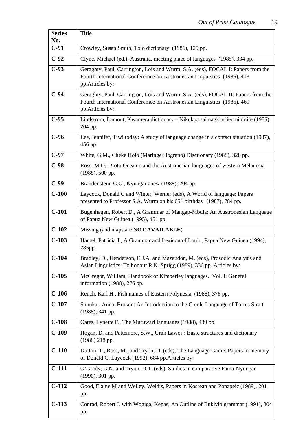| <b>Series</b> | <b>Title</b>                                                                                                                                                                   |
|---------------|--------------------------------------------------------------------------------------------------------------------------------------------------------------------------------|
| No.<br>$C-91$ | Crowley, Susan Smith, Tolo dictionary (1986), 129 pp.                                                                                                                          |
| $C-92$        | Clyne, Michael (ed.), Australia, meeting place of languages (1985), 334 pp.                                                                                                    |
|               |                                                                                                                                                                                |
| $C-93$        | Geraghty, Paul, Carrington, Lois and Wurm, S.A. (eds), FOCAL I: Papers from the<br>Fourth International Conferemce on Austronesian Linguistics (1986), 413<br>pp.Articles by:  |
| $C-94$        | Geraghty, Paul, Carrington, Lois and Wurm, S.A. (eds), FOCAL II: Papers from the<br>Fourth International Conferemce on Austronesian Linguistics (1986), 469<br>pp.Articles by: |
| $C-95$        | Lindstrom, Lamont, Kwamera dictionary - Nikukua sai nagkiariien nininife (1986),<br>204 pp.                                                                                    |
| $C-96$        | Lee, Jennifer, Tiwi today: A study of language change in a contact situation (1987),<br>456 pp.                                                                                |
| $C-97$        | White, G.M., Cheke Holo (Maringe/Hograno) Disctionary (1988), 328 pp.                                                                                                          |
| $C-98$        | Ross, M.D., Proto Oceanic and the Austronesian languages of western Melanesia<br>(1988), 500 pp.                                                                               |
| $C-99$        | Brandenstein, C.G., Nyungar anew (1988), 204 pp.                                                                                                                               |
| $C-100$       | Laycock, Donald C and Winter, Werner (eds), A World of language: Papers<br>presented to Professor S.A. Wurm on his $65th$ birthday (1987), 784 pp.                             |
| $C-101$       | Bugenhagen, Robert D., A Grammar of Mangap-Mbula: An Austronesian Language<br>of Papua New Guinea (1995), 451 pp.                                                              |
| $C-102$       | Missing (and maps are <b>NOT AVAILABLE</b> )                                                                                                                                   |
| $C-103$       | Hamel, Patricia J., A Grammar and Lexicon of Loniu, Papua New Guinea (1994),<br>285pp.                                                                                         |
| $C-104$       | Bradley, D., Henderson, E.J.A. and Mazaudon, M. (eds), Prosodic Analysis and<br>Asian Linguistics: To honour R.K. Sprigg (1989), 336 pp. Articles by:                          |
| $C-105$       | McGregor, William, Handbook of Kimberley languages. Vol. I: General<br>information (1988), 276 pp.                                                                             |
| $C-106$       | Rench, Karl H., Fish names of Eastern Polynesia (1988), 378 pp.                                                                                                                |
| $C-107$       | Shnukal, Anna, Broken: An Introduction to the Creole Language of Torres Strait<br>$(1988)$ , 341 pp.                                                                           |
| $C-108$       | Oates, Lynette F., The Muruwari languages (1988), 439 pp.                                                                                                                      |
| $C-109$       | Hogan, D. and Pattemore, S.W., Urak Lawoi': Basic structures and dictionary<br>$(1988)$ 218 pp.                                                                                |
| $C-110$       | Dutton, T., Ross, M., and Tryon, D. (eds), The Language Game: Papers in memory<br>of Donald C. Laycock (1992), 684 pp. Articles by:                                            |
| $C-111$       | O'Grady, G.N. and Tryon, D.T. (eds), Studies in comparative Pama-Nyungan<br>$(1990), 301$ pp.                                                                                  |
| $C-112$       | Good, Elaine M and Welley, Weldis, Papers in Kosrean and Ponapeic (1989), 201<br>pp.                                                                                           |
| $C-113$       | Conrad, Robert J. with Wogiga, Kepas, An Outline of Bukiyip grammar (1991), 304<br>pp.                                                                                         |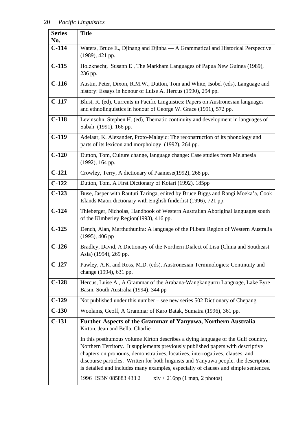| <b>Series</b>  | <b>Title</b>                                                                                                                                                                                                                                                                                                                                                                                                                                                                                    |
|----------------|-------------------------------------------------------------------------------------------------------------------------------------------------------------------------------------------------------------------------------------------------------------------------------------------------------------------------------------------------------------------------------------------------------------------------------------------------------------------------------------------------|
| No.<br>$C-114$ | Waters, Bruce E., Djinang and Djinba - A Grammatical and Historical Perspective                                                                                                                                                                                                                                                                                                                                                                                                                 |
|                | (1989), 421 pp.                                                                                                                                                                                                                                                                                                                                                                                                                                                                                 |
| $C-115$        | Holzknecht, Susann E, The Markham Languages of Papua New Guinea (1989),<br>236 pp.                                                                                                                                                                                                                                                                                                                                                                                                              |
| $C-116$        | Austin, Peter, Dixon, R.M.W., Dutton, Tom and White, Isobel (eds), Language and<br>history: Essays in honour of Luise A. Hercus (1990), 294 pp.                                                                                                                                                                                                                                                                                                                                                 |
| $C-117$        | Blust, R. (ed), Currents in Pacific Linguistics: Papers on Austronesian languages<br>and ethnolinguistics in honour of George W. Grace (1991), 572 pp.                                                                                                                                                                                                                                                                                                                                          |
| $C-118$        | Levinsohn, Stephen H. (ed), Thematic continuity and development in languages of<br>Sabah (1991), 166 pp.                                                                                                                                                                                                                                                                                                                                                                                        |
| $C-119$        | Adelaar, K. Alexander, Proto-Malayic: The reconstruction of its phonology and<br>parts of its lexicon and morphology (1992), 264 pp.                                                                                                                                                                                                                                                                                                                                                            |
| $C-120$        | Dutton, Tom, Culture change, language change: Case studies from Melanesia<br>(1992), 164 pp.                                                                                                                                                                                                                                                                                                                                                                                                    |
| $C-121$        | Crowley, Terry, A dictionary of Paamese(1992), 268 pp.                                                                                                                                                                                                                                                                                                                                                                                                                                          |
| $C-122$        | Dutton, Tom, A First Dictionary of Koiari (1992), 185pp                                                                                                                                                                                                                                                                                                                                                                                                                                         |
| $C-123$        | Buse, Jasper with Raututi Taringa, edited by Bruce Biggs and Rangi Moeka'a, Cook<br>Islands Maori dictionary with English finderlist (1996), 721 pp.                                                                                                                                                                                                                                                                                                                                            |
| $C-124$        | Thieberger, Nicholas, Handbook of Western Australian Aboriginal languages south<br>of the Kimberley Region(1993), 416 pp.                                                                                                                                                                                                                                                                                                                                                                       |
| $C-125$        | Dench, Alan, Marthuthunira: A language of the Pilbara Region of Western Australia<br>$(1995), 406$ pp                                                                                                                                                                                                                                                                                                                                                                                           |
| $C-126$        | Bradley, David, A Dictionary of the Northern Dialect of Lisu (China and Southeast<br>Asia) (1994), 269 pp.                                                                                                                                                                                                                                                                                                                                                                                      |
| $C-127$        | Pawley, A.K. and Ross, M.D. (eds), Austronesian Terminologies: Continuity and<br>change (1994), 631 pp.                                                                                                                                                                                                                                                                                                                                                                                         |
| $C-128$        | Hercus, Luise A., A Grammar of the Arabana-Wangkangurru Language, Lake Eyre<br>Basin, South Australia (1994), 344 pp                                                                                                                                                                                                                                                                                                                                                                            |
| $C-129$        | Not published under this number – see new series 502 Dictionary of Chepang                                                                                                                                                                                                                                                                                                                                                                                                                      |
| $C-130$        | Woolams, Geoff, A Grammar of Karo Batak, Sumatra (1996), 361 pp.                                                                                                                                                                                                                                                                                                                                                                                                                                |
| $C-131$        | Further Aspects of the Grammar of Yanyuwa, Northern Australia<br>Kirton, Jean and Bella, Charlie                                                                                                                                                                                                                                                                                                                                                                                                |
|                | In this posthumous volume Kirton describes a dying language of the Gulf country,<br>Northern Territory. It supplements previously published papers with descriptive<br>chapters on pronouns, demonstratives, locatives, interrogatives, clauses, and<br>discourse particles. Written for both linguists and Yanyuwa people, the description<br>is detailed and includes many examples, especially of clauses and simple sentences.<br>1996 ISBN 085883 433 2<br>$xiv + 216pp$ (1 map, 2 photos) |
|                |                                                                                                                                                                                                                                                                                                                                                                                                                                                                                                 |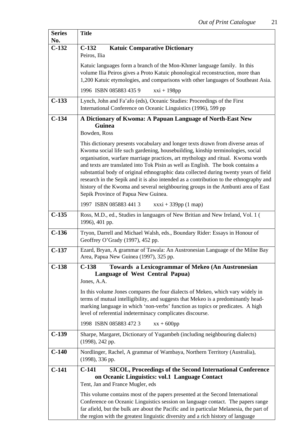٦

| <b>Series</b> | <b>Title</b>                                                                                                                                                                                                                                                                                                                                                                                                                                                                                                                                                                                                                                           |
|---------------|--------------------------------------------------------------------------------------------------------------------------------------------------------------------------------------------------------------------------------------------------------------------------------------------------------------------------------------------------------------------------------------------------------------------------------------------------------------------------------------------------------------------------------------------------------------------------------------------------------------------------------------------------------|
| No.           |                                                                                                                                                                                                                                                                                                                                                                                                                                                                                                                                                                                                                                                        |
| $C-132$       | $C-132$<br><b>Katuic Comparative Dictionary</b><br>Peiros, Ilia                                                                                                                                                                                                                                                                                                                                                                                                                                                                                                                                                                                        |
|               | Katuic languages form a branch of the Mon-Khmer language family. In this<br>volume Ilia Peiros gives a Proto Katuic phonological reconstruction, more than<br>1,200 Katuic etymologies, and comparisons with other languages of Southeast Asia.                                                                                                                                                                                                                                                                                                                                                                                                        |
|               | 1996 ISBN 085883 435 9<br>$xxi + 198pp$                                                                                                                                                                                                                                                                                                                                                                                                                                                                                                                                                                                                                |
| $C-133$       | Lynch, John and Fa'afo (eds), Oceanic Studies: Proceedings of the First<br>International Conference on Oceanic Linguistics (1996), 599 pp                                                                                                                                                                                                                                                                                                                                                                                                                                                                                                              |
| $C-134$       | A Dictionary of Kwoma: A Papuan Language of North-East New<br>Guinea                                                                                                                                                                                                                                                                                                                                                                                                                                                                                                                                                                                   |
|               | Bowden, Ross                                                                                                                                                                                                                                                                                                                                                                                                                                                                                                                                                                                                                                           |
|               | This dictionary presents vocabulary and longer texts drawn from diverse areas of<br>Kwoma social life such gardening, housebuilding, kinship terminologies, social<br>organisation, warfare marriage practices, art mythology and ritual. Kwoma words<br>and texts are translated into Tok Pisin as well as English. The book contains a<br>substantial body of original ethnographic data collected during twenty years of field<br>research in the Sepik and it is also intended as a contribution to the ethnography and<br>history of the Kwoma and several neighbouring groups in the Ambunti area of East<br>Sepik Province of Papua New Guinea. |
|               | 1997 ISBN 085883 4413<br>$xxxi + 339pp (1 map)$                                                                                                                                                                                                                                                                                                                                                                                                                                                                                                                                                                                                        |
| $C-135$       | Ross, M.D., ed., Studies in languages of New Britian and New Ireland, Vol. 1 (<br>1996), 401 pp.                                                                                                                                                                                                                                                                                                                                                                                                                                                                                                                                                       |
| $C-136$       | Tryon, Darrell and Michael Walsh, eds., Boundary Rider: Essays in Honour of<br>Geoffrey O'Grady (1997), 452 pp.                                                                                                                                                                                                                                                                                                                                                                                                                                                                                                                                        |
| $C-137$       | Ezard, Bryan, A grammar of Tawala: An Austronesian Language of the Milne Bay<br>Area, Papua New Guinea (1997), 325 pp.                                                                                                                                                                                                                                                                                                                                                                                                                                                                                                                                 |
| $C-138$       | <b>Towards a Lexicogrammar of Mekeo (An Austronesian</b><br>$C-138$<br><b>Language of West Central Papua)</b>                                                                                                                                                                                                                                                                                                                                                                                                                                                                                                                                          |
|               | Jones, A.A.                                                                                                                                                                                                                                                                                                                                                                                                                                                                                                                                                                                                                                            |
|               | In this volume Jones compares the four dialects of Mekeo, which vary widely in<br>terms of mutual intelligibility, and suggests that Mekeo is a predominantly head-<br>marking language in which 'non-verbs' function as topics or predicates. A high<br>level of referential indeterminacy complicates discourse.                                                                                                                                                                                                                                                                                                                                     |
|               | 1998 ISBN 085883 472 3<br>$xx + 600pp$                                                                                                                                                                                                                                                                                                                                                                                                                                                                                                                                                                                                                 |
| $C-139$       | Sharpe, Margaret, Dictionary of Yugambeh (including neighbouring dialects)<br>(1998), 242 pp.                                                                                                                                                                                                                                                                                                                                                                                                                                                                                                                                                          |
| $C-140$       | Nordlinger, Rachel, A grammar of Wambaya, Northern Territory (Australia),<br>(1998), 336 pp.                                                                                                                                                                                                                                                                                                                                                                                                                                                                                                                                                           |
| $C-141$       | <b>SICOL, Proceedings of the Second International Conference</b><br>$C-141$<br>on Oceanic Linguistics: vol.1 Language Contact<br>Tent, Jan and France Mugler, eds                                                                                                                                                                                                                                                                                                                                                                                                                                                                                      |
|               | This volume contains most of the papers presented at the Second International<br>Conference on Oceanic Linguistics session on language contact. The papers range<br>far afield, but the bulk are about the Pacific and in particular Melanesia, the part of<br>the region with the greatest linguistic diversity and a rich history of language                                                                                                                                                                                                                                                                                                        |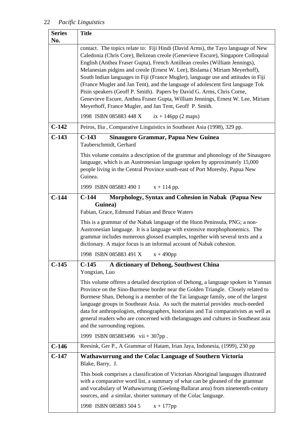| <b>Series</b><br>No. | <b>Title</b>                                                                                                                                                                                                                                                                                                                                                                                                                                                                                                                                                                                                                                                                                                                      |
|----------------------|-----------------------------------------------------------------------------------------------------------------------------------------------------------------------------------------------------------------------------------------------------------------------------------------------------------------------------------------------------------------------------------------------------------------------------------------------------------------------------------------------------------------------------------------------------------------------------------------------------------------------------------------------------------------------------------------------------------------------------------|
|                      | contact. The topics relate to: Fiji Hindi (David Arms), the Tayo language of New<br>Caledonia (Chris Core), Belizean creole (Genevieve Escure), Singapore Colloquial<br>English (Anthea Fraser Gupta), French Antillean creoles (William Jennings),<br>Melanesian pidgins and creole (Ernest W. Lee), Bislama (Miriam Meyerhoff),<br>South Indian languages in Fiji (France Mugler), language use and attitudes in Fiji<br>(France Mugler and Jan Tent), and the language of adolescent first language Tok<br>Pisin speakers (Geoff P. Smith). Papers by David G. Arms, Chris Corne,<br>Genevieve Escure, Anthea Fraser Gupta, William Jennings, Ernest W. Lee, Miriam<br>Meyerhoff, France Mugler, and Jan Tent, Geoff P. Smith. |
|                      | 1998 ISBN 085883 448 X<br>$ix + 146pp (2 maps)$                                                                                                                                                                                                                                                                                                                                                                                                                                                                                                                                                                                                                                                                                   |
| $C-142$              | Peiros, Ilia, Comparative Linguistics in Southeast Asia (1998), 329 pp.                                                                                                                                                                                                                                                                                                                                                                                                                                                                                                                                                                                                                                                           |
| $C-143$              | $C-143$<br>Sinaugoro Grammar, Papua New Guinea<br>Tauberschmidt, Gerhard                                                                                                                                                                                                                                                                                                                                                                                                                                                                                                                                                                                                                                                          |
|                      | This volume contains a description of the grammar and phonology of the Sinaugoro<br>language, which is an Austronesian language spoken by approximately 15,000<br>people living in the Central Province south-east of Port Moresby, Papua New<br>Guinea.                                                                                                                                                                                                                                                                                                                                                                                                                                                                          |
|                      | 1999 ISBN 085883 490 1<br>$x + 114$ pp.                                                                                                                                                                                                                                                                                                                                                                                                                                                                                                                                                                                                                                                                                           |
| $C-144$              | Morphology, Syntax and Cohesion in Nabak (Papua New<br>$C-144$                                                                                                                                                                                                                                                                                                                                                                                                                                                                                                                                                                                                                                                                    |
|                      | Guinea)<br>Fabian, Grace, Edmund Fabian and Bruce Waters                                                                                                                                                                                                                                                                                                                                                                                                                                                                                                                                                                                                                                                                          |
|                      | This is a grammar of the Nabak language of the Huon Peninsula, PNG; a non-<br>Austronesian language. It is a language with extensive morphophonemics. The<br>grammar includes numerous glossed examples, together with several texts and a<br>dictionary. A major focus is an informal account of Nabak cohesion.                                                                                                                                                                                                                                                                                                                                                                                                                 |
|                      | 1998 ISBN 085883 491 X<br>$x + 490$ pp                                                                                                                                                                                                                                                                                                                                                                                                                                                                                                                                                                                                                                                                                            |
| $C-145$              | $C-145$<br>A dictionary of Dehong, Southwest China<br>Yongxian, Luo                                                                                                                                                                                                                                                                                                                                                                                                                                                                                                                                                                                                                                                               |
|                      | This volume offeres a detailed description of Dehong, a language spoken in Yunnan<br>Province on the Sino-Burmese border near the Golden Triangle. Closely related to<br>Burmese Shan, Dehong is a member of the Tai language family, one of the largest<br>language groups in Southeast Asia. As such the material provides much-needed<br>data for anthropologists, ethnographers, historians and Tai comparativists as well as<br>general readers who are concerned with thelanguages and cultures in Southeast asia<br>and the surrounding regions.                                                                                                                                                                           |
|                      | 1999 ISBN 085883496 vii + 307pp.                                                                                                                                                                                                                                                                                                                                                                                                                                                                                                                                                                                                                                                                                                  |
| $C-146$              | Reesink, Ger P., A Grammar of Hatam, Irian Jaya, Indonesia, (1999), 230 pp                                                                                                                                                                                                                                                                                                                                                                                                                                                                                                                                                                                                                                                        |
| $C-147$              | Wathawurrung and the Colac Language of Southern Victoria<br>Blake, Barry, J.                                                                                                                                                                                                                                                                                                                                                                                                                                                                                                                                                                                                                                                      |
|                      | This book comprises a classification of Victorian Aboriginal languages illustrated<br>with a comparative word list, a summary of what can be gleaned of the grammar<br>and vocabulary of Wathawurrung (Geelong-Ballarat area) from nineteenth-century<br>sources, and a similar, shorter summary of the Colac language.                                                                                                                                                                                                                                                                                                                                                                                                           |
|                      | 1998 ISBN 085883 504 5<br>$x + 177$ pp                                                                                                                                                                                                                                                                                                                                                                                                                                                                                                                                                                                                                                                                                            |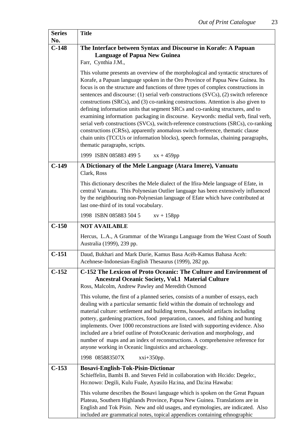| <b>Series</b>  | <b>Title</b>                                                                                                                                                                                                                                                                                                                                                                                                                                                                                                                                                                                                                                                                                                                                                                                                                                                                                                                                      |
|----------------|---------------------------------------------------------------------------------------------------------------------------------------------------------------------------------------------------------------------------------------------------------------------------------------------------------------------------------------------------------------------------------------------------------------------------------------------------------------------------------------------------------------------------------------------------------------------------------------------------------------------------------------------------------------------------------------------------------------------------------------------------------------------------------------------------------------------------------------------------------------------------------------------------------------------------------------------------|
| No.<br>$C-148$ | The Interface between Syntax and Discourse in Korafe: A Papuan                                                                                                                                                                                                                                                                                                                                                                                                                                                                                                                                                                                                                                                                                                                                                                                                                                                                                    |
|                | <b>Language of Papua New Guinea</b>                                                                                                                                                                                                                                                                                                                                                                                                                                                                                                                                                                                                                                                                                                                                                                                                                                                                                                               |
|                | Farr, Cynthia J.M.,                                                                                                                                                                                                                                                                                                                                                                                                                                                                                                                                                                                                                                                                                                                                                                                                                                                                                                                               |
|                | This volume presents an overview of the morphological and syntactic structures of<br>Korafe, a Papuan language spoken in the Oro Province of Papua New Guinea. Its<br>focus is on the structure and functions of three types of complex constructions in<br>sentences and discourse: (1) serial verb constructions (SVCs), (2) switch reference<br>constructions (SRCs), and (3) co-ranking constructions. Attention is also given to<br>defining information units that segment SRCs and co-ranking structures, and to<br>examining information packaging in discourse. Keywords: medial verb, final verb,<br>serial verb constructions (SVCs), switch-reference constructions (SRCs), co-ranking<br>constructions (CRSs), apparently anomalous switch-reference, thematic clause<br>chain units (TCCUs or information blocks), speech formulas, chaining paragraphs,<br>thematic paragraphs, scripts.<br>1999 ISBN 085883 499 5<br>$xx + 459pp$ |
|                |                                                                                                                                                                                                                                                                                                                                                                                                                                                                                                                                                                                                                                                                                                                                                                                                                                                                                                                                                   |
| $C-149$        | A Dictionary of the Mele Language (Atara Imere), Vanuatu<br>Clark, Ross                                                                                                                                                                                                                                                                                                                                                                                                                                                                                                                                                                                                                                                                                                                                                                                                                                                                           |
|                | This dictionary describes the Mele dialect of the Ifira-Mele language of Efate, in<br>central Vanuatu. This Polynesian Outlier language has been extensively influenced<br>by the neighbouring non-Polynesian language of Efate which have contributed at<br>last one-third of its total vocabulary.                                                                                                                                                                                                                                                                                                                                                                                                                                                                                                                                                                                                                                              |
|                | 1998 ISBN 085883 504 5<br>$xy + 158pp$                                                                                                                                                                                                                                                                                                                                                                                                                                                                                                                                                                                                                                                                                                                                                                                                                                                                                                            |
| $C-150$        | <b>NOT AVAILABLE</b>                                                                                                                                                                                                                                                                                                                                                                                                                                                                                                                                                                                                                                                                                                                                                                                                                                                                                                                              |
|                | Hercus, L.A., A Grammar of the Wirangu Language from the West Coast of South<br>Australia (1999), 239 pp.                                                                                                                                                                                                                                                                                                                                                                                                                                                                                                                                                                                                                                                                                                                                                                                                                                         |
| $C-151$        | Daud, Bukhari and Mark Durie, Kamus Basa Acèh-Kamus Bahasa Aceh:<br>Acehnese-Indonesian-English Thesaurus (1999), 282 pp.                                                                                                                                                                                                                                                                                                                                                                                                                                                                                                                                                                                                                                                                                                                                                                                                                         |
| $C-152$        | C-152 The Lexicon of Proto Oceanic: The Culture and Environment of<br><b>Ancestral Oceanic Society, Vol.1 Material Culture</b><br>Ross, Malcolm, Andrew Pawley and Meredith Osmond<br>This volume, the first of a planned series, consists of a number of essays, each<br>dealing with a particular semantic field within the domain of technology and<br>material culture: settlement and building terms, household artifacts including<br>pottery, gardening practices, food preparation, canoes, and fishing and hunting<br>implements. Over 1000 reconstructions are listed with supporting evidence. Also<br>included are a brief outline of ProtoOceanic derivation and morphology, and<br>number of maps and an index of reconstructions. A comprehensive reference for<br>anyone working in Oceanic linguistics and archaeology.<br>1998 085883507X<br>$xxi+350pp.$                                                                       |
| $C-153$        | Bosavi-English-Tok-Pisin-Dictionar                                                                                                                                                                                                                                                                                                                                                                                                                                                                                                                                                                                                                                                                                                                                                                                                                                                                                                                |
|                | Schieffelin, Bambi B. and Steven Feld in collaboration with Ho:ido: Degelo:,<br>Ho:nowo: Degili, Kulu Fuale, Ayasilo Ha:ina, and Da:ina Hawaba:                                                                                                                                                                                                                                                                                                                                                                                                                                                                                                                                                                                                                                                                                                                                                                                                   |
|                | This volume describes the Bosavi language which is spoken on the Great Papuan<br>Plateau, Southern Highlands Province, Papua New Guinea. Translations are in<br>English and Tok Pisin. New and old usages, and etymologies, are indicated. Also<br>included are grammatical notes, topical appendices containing ethnographic                                                                                                                                                                                                                                                                                                                                                                                                                                                                                                                                                                                                                     |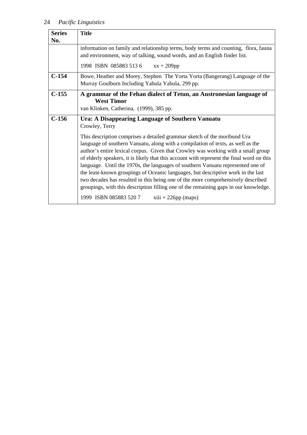| <b>Series</b> | <b>Title</b>                                                                                                                                                                                                                                                                                                                                                                                                                                                                                                                                                                                                                                                                                     |
|---------------|--------------------------------------------------------------------------------------------------------------------------------------------------------------------------------------------------------------------------------------------------------------------------------------------------------------------------------------------------------------------------------------------------------------------------------------------------------------------------------------------------------------------------------------------------------------------------------------------------------------------------------------------------------------------------------------------------|
| No.           |                                                                                                                                                                                                                                                                                                                                                                                                                                                                                                                                                                                                                                                                                                  |
|               | information on family and relationship terms, body terms and counting, flora, fauna<br>and environment, way of talking, sound words, and an English finder list.                                                                                                                                                                                                                                                                                                                                                                                                                                                                                                                                 |
|               | 1998 ISBN 0858835136<br>$xx + 209pp$                                                                                                                                                                                                                                                                                                                                                                                                                                                                                                                                                                                                                                                             |
| $C-154$       | Bowe, Heather and Morey, Stephen The Yorta Yorta (Bangerang) Language of the<br>Murray Goulburn Including Yabula Yabula, 299 pp.                                                                                                                                                                                                                                                                                                                                                                                                                                                                                                                                                                 |
| $C-155$       | A grammar of the Fehan dialect of Tetun, an Austronesian language of<br><b>West Timor</b><br>van Klinken, Catherina, (1999), 385 pp.                                                                                                                                                                                                                                                                                                                                                                                                                                                                                                                                                             |
| $C-156$       | Ura: A Disappearing Language of Southern Vanuatu<br>Crowley, Terry                                                                                                                                                                                                                                                                                                                                                                                                                                                                                                                                                                                                                               |
|               | This description comprises a detailed grammar sketch of the moribund Ura<br>language of southern Vanuatu, along with a compilation of texts, as well as the<br>author's entire lexical corpus. Given that Crowley was working with a small group<br>of elderly speakers, it is likely that this account with represent the final word on this<br>language. Until the 1970s, the languages of southern Vanuatu represented one of<br>the least-known groupings of Oceanic languages, but descriptive work in the last<br>two decades has resulted in this being one of the more comprehensively described<br>groupings, with this description filling one of the remaining gaps in our knowledge. |
|               | 1999 ISBN 085883 5207<br>$xiii + 226pp (maps)$                                                                                                                                                                                                                                                                                                                                                                                                                                                                                                                                                                                                                                                   |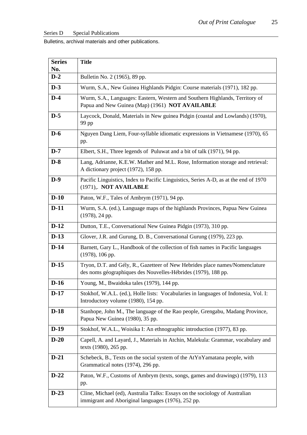Series D Special Publications

Bulletins, archival materials and other publications.

| <b>Series</b> | <b>Title</b>                                                                                                                                  |
|---------------|-----------------------------------------------------------------------------------------------------------------------------------------------|
| No.           |                                                                                                                                               |
| $D-2$         | Bulletin No. 2 (1965), 89 pp.                                                                                                                 |
| $D-3$         | Wurm, S.A., New Guinea Highlands Pidgin: Course materials (1971), 182 pp.                                                                     |
| $D-4$         | Wurm, S.A., Languages: Eastern, Western and Southern Highlands, Territory of<br>Papua and New Guinea (Map) (1961) NOT AVAILABLE               |
| $D-5$         | Laycock, Donald, Materials in New guinea Pidgin (coastal and Lowlands) (1970),<br>99 pp                                                       |
| $D-6$         | Nguyen Dang Liem, Four-syllable idiomatic expressions in Vietnamese (1970), 65<br>pp.                                                         |
| $D-7$         | Elbert, S.H., Three legends of Puluwat and a bit of talk (1971), 94 pp.                                                                       |
| $D-8$         | Lang, Adrianne, K.E.W. Mather and M.L. Rose, Information storage and retrieval:<br>A dictionary project (1972), 158 pp.                       |
| $D-9$         | Pacific Linguistics, Index to Pacific Linguistics, Series A-D, as at the end of 1970<br>(1971),. NOT AVAILABLE                                |
| $D-10$        | Paton, W.F., Tales of Ambrym (1971), 94 pp.                                                                                                   |
| $D-11$        | Wurm, S.A. (ed.), Language maps of the highlands Provinces, Papua New Guinea<br>$(1978)$ , 24 pp.                                             |
| $D-12$        | Dutton, T.E., Conversational New Guinea Pidgin (1973), 310 pp.                                                                                |
| $D-13$        | Glover, J.R. and Gurung, D. B., Conversational Gurung (1979), 223 pp.                                                                         |
| $D-14$        | Barnett, Gary L., Handbook of the collection of fish names in Pacific languages<br>$(1978)$ , 106 pp.                                         |
| $D-15$        | Tryon, D.T. and Gély, R., Gazetteer of New Hebrides place names/Nomenclature<br>des noms géographiques des Nouvelles-Hébrides (1979), 188 pp. |
| $D-16$        | Young, M., Bwaidoka tales (1979), 144 pp.                                                                                                     |
| $D-17$        | Stokhof, W.A.L. (ed.), Holle lists: Vocabularies in languages of Indonesia, Vol. I:<br>Introductory volume (1980), 154 pp.                    |
| $D-18$        | Stanhope, John M., The language of the Rao people, Grengabu, Madang Province,<br>Papua New Guinea (1980), 35 pp.                              |
| $D-19$        | Stokhof, W.A.L., Woisika I: An ethnographic introduction (1977), 83 pp.                                                                       |
| $D-20$        | Capell, A. and Layard, J., Materials in Atchin, Malekula: Grammar, vocabulary and<br>texts (1980), 265 pp.                                    |
| $D-21$        | Schebeck, B., Texts on the social system of the AtYnYamatana people, with<br>Grammatical notes (1974), 296 pp.                                |
| $D-22$        | Paton, W.F., Customs of Ambrym (texts, songs, games and drawings) (1979), 113<br>pp.                                                          |
| $D-23$        | Cline, Michael (ed), Australia Talks: Essays on the sociology of Australian<br>immigrant and Aboriginal languages (1976), 252 pp.             |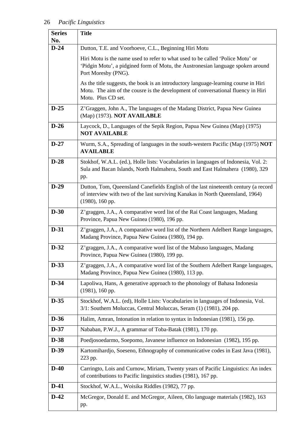| <b>Series</b><br>No. | <b>Title</b>                                                                                                                                                                                  |
|----------------------|-----------------------------------------------------------------------------------------------------------------------------------------------------------------------------------------------|
| $D-24$               | Dutton, T.E. and Voorhoeve, C.L., Beginning Hiri Motu                                                                                                                                         |
|                      | Hiri Motu is the name used to refer to what used to be called 'Police Motu' or<br>'Pidgin Motu', a pidgined form of Motu, the Austronesian language spoken around<br>Port Moresby (PNG).      |
|                      | As the title suggests, the book is an introductory language-learning course in Hiri<br>Motu. The aim of the cousre is the development of conversational fluency in Hiri<br>Motu. Plus CD set. |
| $D-25$               | Z'Graggen, John A., The languages of the Madang District, Papua New Guinea<br>(Map) (1973). NOT AVAILABLE                                                                                     |
| $D-26$               | Laycock, D., Languages of the Sepik Region, Papua New Guinea (Map) (1975)<br><b>NOT AVAILABLE</b>                                                                                             |
| $D-27$               | Wurm, S.A., Spreading of languages in the south-western Pacific (Map (1975) NOT<br><b>AVAILABLE</b>                                                                                           |
| $D-28$               | Stokhof, W.A.L. (ed.), Holle lists: Vocabularies in languages of Indonesia, Vol. 2:<br>Sula and Bacan Islands, North Halmahera, South and East Halmahera (1980), 329<br>pp.                   |
| $D-29$               | Dutton, Tom, Queensland Canefields English of the last nineteenth century (a record<br>of interview with two of the last surviving Kanakas in North Queensland, 1964)<br>$(1980)$ , 160 pp.   |
| $D-30$               | Z' graggen, J.A., A comparative word list of the Rai Coast languages, Madang<br>Province, Papua New Guinea (1980), 196 pp.                                                                    |
| $D-31$               | Z' graggen, J.A., A comparative word list of the Northern Adelbert Range languages,<br>Madang Province, Papua New Guinea (1980), 194 pp.                                                      |
| $D-32$               | Z' graggen, J.A., A comparative word list of the Mabuso languages, Madang<br>Province, Papua New Guinea (1980), 199 pp.                                                                       |
| $D-33$               | Z'graggen, J.A., A comparative word list of the Southern Adelbert Range languages,<br>Madang Province, Papua New Guinea (1980), 113 pp.                                                       |
| $D-34$               | Lapoliwa, Hans, A generative approach to the phonology of Bahasa Indonesia<br>$(1981)$ , 160 pp.                                                                                              |
| $D-35$               | Stockhof, W.A.L. (ed), Holle Lists: Vocabularies in languages of Indonesia, Vol.<br>3/1: Southern Moluccas, Central Moluccas, Seram (1) (1981), 204 pp.                                       |
| $D-36$               | Halim, Amran, Intonation in relation to syntax in Indonesian (1981), 156 pp.                                                                                                                  |
| $D-37$               | Nababan, P.W.J., A grammar of Toba-Batak (1981), 170 pp.                                                                                                                                      |
| $D-38$               | Poedjosoedarmo, Soepomo, Javanese influence on Indonesian (1982), 195 pp.                                                                                                                     |
| $D-39$               | Kartomihardjo, Soeseno, Ethnography of communicative codes in East Java (1981),<br>223 pp.                                                                                                    |
| $D-40$               | Carringto, Lois and Curnow, Miriam, Twenty years of Pacific Linguistics: An index<br>of contributions to Pacific linguistics studies (1981), 167 pp.                                          |
| $D-41$               | Stockhof, W.A.L., Woisika Riddles (1982), 77 pp.                                                                                                                                              |
| $D-42$               | McGregor, Donald E. and McGregor, Aileen, Olo language materials (1982), 163<br>pp.                                                                                                           |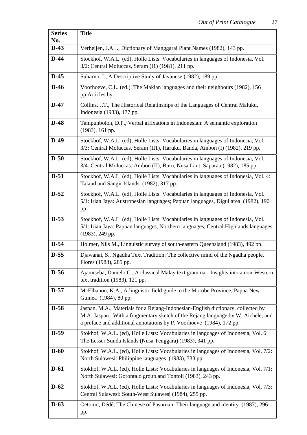ä

| <b>Series</b><br>No. | <b>Title</b>                                                                                                                                                                                                                                 |
|----------------------|----------------------------------------------------------------------------------------------------------------------------------------------------------------------------------------------------------------------------------------------|
| $D-43$               | Verheijen, J.A.J., Dictionary of Manggarai Plant Names (1982), 143 pp.                                                                                                                                                                       |
| $D-44$               | Stockhof, W.A.L. (ed), Holle Lists: Vocabularies in languages of Indonesia, Vol.<br>3/2: Central Moluccas, Seram (I1) (1981), 211 pp.                                                                                                        |
| $D-45$               | Suharno, I., A Descriptive Study of Javanese (1982), 189 pp.                                                                                                                                                                                 |
| $D-46$               | Voorhoeve, C.L. (ed.), The Makian languages and their neighbours (1982), 156<br>pp.Articles by:                                                                                                                                              |
| $D-47$               | Collins, J.T., The Historical Relatinships of the Languages of Central Maluku,<br>Indonesia (1983), 177 pp.                                                                                                                                  |
| $D-48$               | Tampunbolon, D.P., Verbal affixations in Indonesian: A semantic exploration<br>$(1983)$ , 161 pp.                                                                                                                                            |
| $D-49$               | Stockhof, W.A.L. (ed), Holle Lists: Vocabularies in languages of Indonesia, Vol.<br>3/3: Central Moluccas, Seram (II1), Haruku, Banda, Ambon (I) (1982), 219 pp.                                                                             |
| $D-50$               | Stockhof, W.A.L. (ed), Holle Lists: Vocabularies in languages of Indonesia, Vol.<br>3/4: Central Moluccas: Ambon (II), Buru, Nusa Laut, Saparau (1982), 185 pp.                                                                              |
| $D-51$               | Stockhof, W.A.L. (ed), Holle Lists: Vocabularies in languages of Indonesia, Vol. 4:<br>Talaud and Sangir Islands (1982), 317 pp.                                                                                                             |
| $D-52$               | Stockhof, W.A.L. (ed), Holle Lists: Vocabularies in languages of Indonesia, Vol.<br>5/1: Irian Jaya: Austronesian languages; Papuan languages, Digul area (1982), 190<br>pp.                                                                 |
| $D-53$               | Stockhof, W.A.L. (ed), Holle Lists: Vocabularies in languages of Indonesia, Vol.<br>5/1: Irian Jaya: Papuan languages, Northern languages, Central Highlands languages<br>$(1983)$ , 249 pp.                                                 |
| $D-54$               | Holmer, Nils M., Linguistic survey of south-eastern Queensland (1983), 492 pp.                                                                                                                                                               |
| $D-55$               | Djawanai, S., Ngadha Text Tradition: The collective mind of the Ngadha people,<br>Flores (1983), 285 pp.                                                                                                                                     |
| $D-56$               | Ajamiseba, Danielo C., A classical Malay text grammar: Insights into a non-Western<br>text tradition $(1983)$ , 121 pp.                                                                                                                      |
| $D-57$               | McElhanon, K.A., A linguistic field guide to the Morobe Province, Papua New<br>Guinea (1984), 80 pp.                                                                                                                                         |
| $D-58$               | Jaspan, M.A., Materials for a Rejang-Indonesian-English dictionary, collected by<br>M.A. Jaspan. With a fragmentary sketch of the Rejang language by W. Aichele, and<br>a preface and additional annotations by P. Voorhoeve (1984), 172 pp. |
| $D-59$               | Stokhof, W.A.L. (ed), Holle Lists: Vocabularies in languages of Indonesia, Vol. 6:<br>The Lesser Sunda Islands (Nusa Tenggara) (1983), 341 pp.                                                                                               |
| $D-60$               | Stokhof, W.A.L. (ed), Holle Lists: Vocabularies in languages of Indonesia, Vol. 7/2:<br>North Sulawesi: Philippine languages (1983), 333 pp.                                                                                                 |
| $D-61$               | Stokhof, W.A.L. (ed), Holle Lists: Vocabularies in languages of Indonesia, Vol. 7/1:<br>North Sulawesi: Gorontalo group and Tontoli (1983), 243 pp.                                                                                          |
| $D-62$               | Stokhof, W.A.L. (ed), Holle Lists: Vocabularies in languages of Indonesia, Vol. 7/3:<br>Central Sulawesi: South-West Sulawesi (1984), 255 pp.                                                                                                |
| $D-63$               | Oetomo, Dédé, The Chinese of Pasuruan: Their language and identity (1987), 296<br>pp.                                                                                                                                                        |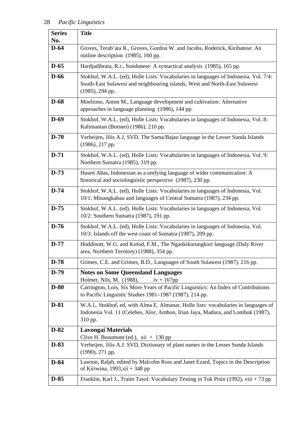| <b>Series</b><br>No. | <b>Title</b>                                                                                                                                                                             |
|----------------------|------------------------------------------------------------------------------------------------------------------------------------------------------------------------------------------|
| $D-64$               | Groves, Terab'ata R., Groves, Gordon W. and Jacobs, Roderick, Kiribatese: An<br>outline description (1985), 160 pp.                                                                      |
| $D-65$               | Hardjadibrata, R.r., Sundanese: A syntactical analysis (1985), 165 pp.                                                                                                                   |
| $D-66$               | Stokhof, W.A.L. (ed), Holle Lists: Vocabularies in languages of Indonesia, Vol. 7/4:<br>South-East Sulawesi and neighbouring islands, West and North-East Sulawesi<br>$(1985)$ , 294 pp. |
| $D-68$               | Moeliono, Anton M., Language development and cultivation: Alternative<br>approaches in language planning (1986), 144 pp.                                                                 |
| $D-69$               | Stokhof, W.A.L. (ed), Holle Lists: Vocabularies in languages of Indonesia, Vol. 8:<br>Kalimantan (Borneo) (1986), 210 pp.                                                                |
| $D-70$               | Verheijen, Jilis A.J, SVD, The Sama/Bajau language in the Lesser Sunda Islands<br>(1986), 217 pp.                                                                                        |
| $D-71$               | Stokhof, W.A.L. (ed), Holle Lists: Vocabularies in languages of Indonesia, Vol. 9:<br>Northern Sumatra (1985), 319 pp.                                                                   |
| $D-73$               | Husen Abas, Indonesian as a unifying language of wider communication: A<br>historical and sociolinguistic perspective (1987), 230 pp.                                                    |
| $D-74$               | Stokhof, W.A.L. (ed), Holle Lists: Vocabularies in languages of Indonesia, Vol.<br>10/1: Minangkabau and languages of Central Sumatra (1987), 234 pp.                                    |
| $D-75$               | Stokhof, W.A.L. (ed), Holle Lists: Vocabularies in languages of Indonesia, Vol.<br>10/2: Southern Sumatra (1987), 191 pp.                                                                |
| $D-76$               | Stokhof, W.A.L. (ed), Holle Lists: Vocabularies in languages of Indonesia, Vol.<br>10/3: Islands off the west coast of Sumatra (1987), 209 pp.                                           |
| $D-77$               | Hoddinott, W.G. and Kofod, F.M., The Ngankikurungkurr language (Daly River<br>area, Northern Territory) (1988), 354 pp.                                                                  |
| $D-78$               | Grimes, C.E. and Grimes, B.D., Languages of South Sulawesi (1987), 216 pp.                                                                                                               |
| $D-79$               | <b>Notes on Some Queensland Languages</b><br>Holmer, Nils, M. (1988),<br>$iv + 167pp$                                                                                                    |
| $D-80$               | Carrington, Lois, Six More Years of Pacific Linguistics: An Index of Contributions<br>to Pacific Linguistic Studies 1981-1987 (1987), 214 pp.                                            |
| $D-81$               | W.A.L. Stokhof, ed, with Alma E. Almanar, Holle lists: vocabularies in languages of<br>Indonesia Vol. 11 (Celebes, Alor, Ambon, Irian Jaya, Madura, and Lombok (1987),<br>310 pp.        |
| $D-82$               | <b>Lavongai Materials</b><br>Clive H. Beaumont (ed.), $xii + 130$ pp                                                                                                                     |
| $D-83$               | Verheijen, Jilis A.J. SVD, Dictionary of plant names in the Lesser Sunda Islands<br>$(1990), 271$ pp.                                                                                    |
| $D-84$               | Lawton, Ralph, edited by Malcolm Ross and Janet Ezard, Topics in the Description<br>of Kiriwina, 1993, $xii + 348$ pp                                                                    |
| $D-85$               | Franklin, Karl J., Traim Tasol: Vocabulary Testing in Tok Pisin (1992), viii + 73 pp                                                                                                     |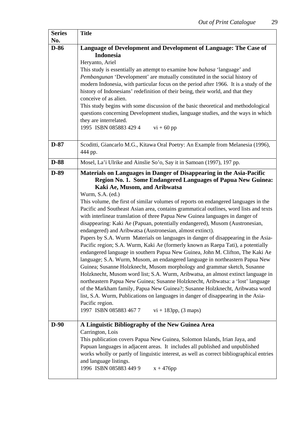ä

| <b>Series</b><br>No. | <b>Title</b>                                                                                                                                                                                                                                                                                                                                                                                                                                                                                                                                                                                                                                                                                                                                                                                                                                                                                                                                                                                                                                                                                                                                                                                                                                                                                                                                                                                                                                      |
|----------------------|---------------------------------------------------------------------------------------------------------------------------------------------------------------------------------------------------------------------------------------------------------------------------------------------------------------------------------------------------------------------------------------------------------------------------------------------------------------------------------------------------------------------------------------------------------------------------------------------------------------------------------------------------------------------------------------------------------------------------------------------------------------------------------------------------------------------------------------------------------------------------------------------------------------------------------------------------------------------------------------------------------------------------------------------------------------------------------------------------------------------------------------------------------------------------------------------------------------------------------------------------------------------------------------------------------------------------------------------------------------------------------------------------------------------------------------------------|
| $D-86$               | Language of Development and Development of Language: The Case of<br><b>Indonesia</b><br>Heryanto, Ariel<br>This study is essentially an attempt to examine how <i>bahasa</i> 'language' and<br>Pembangunan 'Development' are mutually constituted in the social history of<br>modern Indonesia, with particular focus on the period after 1966. It is a study of the<br>history of Indonesians' redefinition of their being, their world, and that they<br>conceive of as alien.<br>This study begins with some discussion of the basic theoretical and methodological<br>questions concerning Development studies, language studies, and the ways in which<br>they are interrelated.<br>1995 ISBN 085883 429 4<br>$vi + 60$ pp                                                                                                                                                                                                                                                                                                                                                                                                                                                                                                                                                                                                                                                                                                                   |
| $D-87$               | Scoditti, Giancarlo M.G., Kitawa Oral Poetry: An Example from Melanesia (1996),<br>444 pp.                                                                                                                                                                                                                                                                                                                                                                                                                                                                                                                                                                                                                                                                                                                                                                                                                                                                                                                                                                                                                                                                                                                                                                                                                                                                                                                                                        |
| <b>D-88</b>          | Mosel, La'i Ulrike and Ainslie So'o, Say it in Samoan (1997), 197 pp.                                                                                                                                                                                                                                                                                                                                                                                                                                                                                                                                                                                                                                                                                                                                                                                                                                                                                                                                                                                                                                                                                                                                                                                                                                                                                                                                                                             |
| $D-89$               | Materials on Languages in Danger of Disappearing in the Asia-Pacific<br>Region No. 1. Some Endangered Languages of Papua New Guinea:<br>Kaki Ae, Musom, and Aribwatsa<br>Wurm, S.A. (ed.)<br>This volume, the first of similar volumes of reports on endangered languages in the<br>Pacific and Southeast Asian area, contains grammatical outlines, word lists and texts<br>with interlinear translation of three Papua New Guinea languages in danger of<br>disappearing: Kaki Ae (Papuan, potentially endangered), Musom (Austronesian,<br>endangered) and Aribwatsa (Austronesian, almost extinct).<br>Papers by S.A. Wurm Materials on languages in danger of disappearing in the Asia-<br>Pacific region; S.A. Wurm, Kaki Ae (formerly known as Raepa Tati), a potentially<br>endangered language in southern Papua New Guinea, John M. Clifton, The Kaki Ae<br>language; S.A. Wurm, Musom, an endangered language in northeastern Papua New<br>Guinea; Susanne Holzknecht, Musom morphology and grammar sketch, Susanne<br>Holzknecht, Musom word list; S.A. Wurm, Aribwatsa, an almost extinct language in<br>northeastern Papua New Guinea; Susanne Holzknecht, Aribwatsa: a 'lost' language<br>of the Markham family, Papua New Guinea?; Susanne Holzknecht, Aribwatsa word<br>list, S.A. Wurm, Publications on languages in danger of disappearing in the Asia-<br>Pacific region.<br>1997 ISBN 085883 4677<br>$vi + 183pp$ , (3 maps) |
| $D-90$               | A Linguistic Bibliography of the New Guinea Area<br>Carrington, Lois<br>This publication covers Papua New Guinea, Solomon Islands, Irian Jaya, and<br>Papuan languages in adjacent areas. It includes all published and unpublished<br>works wholly or partly of linguistic interest, as well as correct bibliographical entries<br>and language listings.<br>1996 ISBN 085883 449 9<br>$x + 476$ pp                                                                                                                                                                                                                                                                                                                                                                                                                                                                                                                                                                                                                                                                                                                                                                                                                                                                                                                                                                                                                                              |